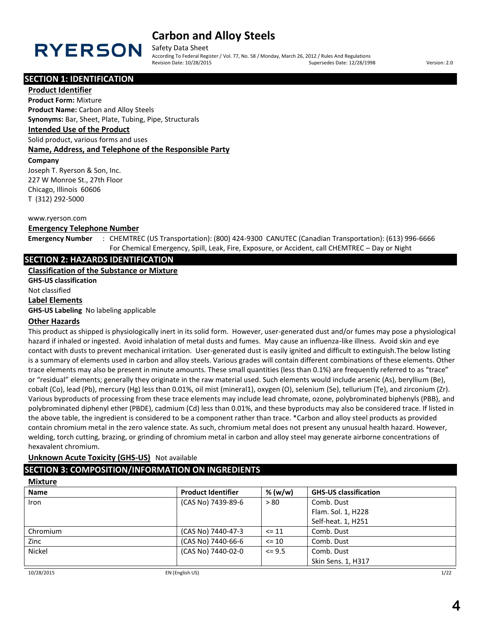# **RYERSON**

## **Carbon and Alloy Steels**

Safety Data Sheet According To Federal Register / Vol. 77, No. 58 / Monday, March 26, 2012 / Rules And Regulations Revision Date: 10/28/2015 Supersedes Date: 12/28/1998 Version: 2.0

## **SECTION 1: IDENTIFICATION**

**Product Identifier Product Form:** Mixture

**Product Name:** Carbon and Alloy Steels

**Synonyms:** Bar, Sheet, Plate, Tubing, Pipe, Structurals

## **Intended Use of the Product**

Solid product, various forms and uses

### **Name, Address, and Telephone of the Responsible Party**

### **Company**

Joseph T. Ryerson & Son, Inc. 227 W Monroe St., 27th Floor Chicago, Illinois 60606 T (312) 292-5000

www.ryerson.com

### **Emergency Telephone Number**

**Emergency Number** : CHEMTREC (US Transportation): (800) 424-9300 CANUTEC (Canadian Transportation): (613) 996-6666 For Chemical Emergency, Spill, Leak, Fire, Exposure, or Accident, call CHEMTREC – Day or Night

## **SECTION 2: HAZARDS IDENTIFICATION**

## **Classification of the Substance or Mixture**

**GHS-US classification** Not classified

**Label Elements**

**GHS-US Labeling** No labeling applicable

## **Other Hazards**

This product as shipped is physiologically inert in its solid form. However, user-generated dust and/or fumes may pose a physiological hazard if inhaled or ingested. Avoid inhalation of metal dusts and fumes. May cause an influenza-like illness. Avoid skin and eye contact with dusts to prevent mechanical irritation. User-generated dust is easily ignited and difficult to extinguish.The below listing is a summary of elements used in carbon and alloy steels. Various grades will contain different combinations of these elements. Other trace elements may also be present in minute amounts. These small quantities (less than 0.1%) are frequently referred to as "trace" or "residual" elements; generally they originate in the raw material used. Such elements would include arsenic (As), beryllium (Be), cobalt (Co), lead (Pb), mercury (Hg) less than 0.01%, oil mist (mineral1), oxygen (O), selenium (Se), tellurium (Te), and zirconium (Zr). Various byproducts of processing from these trace elements may include lead chromate, ozone, polybrominated biphenyls (PBB), and polybrominated diphenyl ether (PBDE), cadmium (Cd) less than 0.01%, and these byproducts may also be considered trace. If listed in the above table, the ingredient is considered to be a component rather than trace. \*Carbon and alloy steel products as provided contain chromium metal in the zero valence state. As such, chromium metal does not present any unusual health hazard. However, welding, torch cutting, brazing, or grinding of chromium metal in carbon and alloy steel may generate airborne concentrations of hexavalent chromium.

## **Unknown Acute Toxicity (GHS-US)** Not available

## **SECTION 3: COMPOSITION/INFORMATION ON INGREDIENTS**

**Mixture**

| <b>Name</b>   | <b>Product Identifier</b> | % (w/w)    | <b>GHS-US classification</b> |
|---------------|---------------------------|------------|------------------------------|
| <b>Iron</b>   | (CAS No) 7439-89-6        | > 80       | Comb. Dust                   |
|               |                           |            | Flam. Sol. 1, H228           |
|               |                           |            | Self-heat. 1, H251           |
| Chromium      | (CAS No) 7440-47-3        | $\leq$ 11  | Comb. Dust                   |
| Zinc          | (CAS No) 7440-66-6        | $\leq 10$  | Comb. Dust                   |
| <b>Nickel</b> | (CAS No) 7440-02-0        | $\leq$ 9.5 | Comb. Dust                   |
|               |                           |            | <b>Skin Sens. 1, H317</b>    |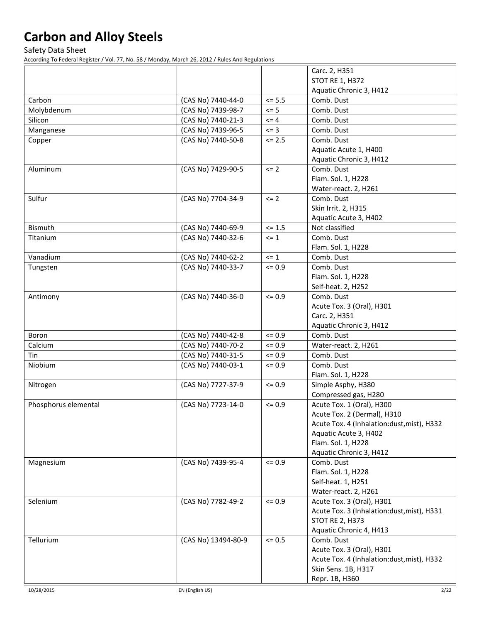Safety Data Sheet

| <b>STOT RE 1, H372</b><br>Aquatic Chronic 3, H412<br>Carbon<br>$\le$ 5.5<br>Comb. Dust<br>(CAS No) 7440-44-0<br>$\leq$ 5<br>Molybdenum<br>(CAS No) 7439-98-7<br>Comb. Dust<br>Silicon<br>(CAS No) 7440-21-3<br>$\leq 4$<br>Comb. Dust<br>$\leq$ = 3<br>(CAS No) 7439-96-5<br>Comb. Dust<br>Manganese<br>(CAS No) 7440-50-8<br>$\le$ 2.5<br>Comb. Dust<br>Copper<br>Aquatic Acute 1, H400<br>Aquatic Chronic 3, H412<br>(CAS No) 7429-90-5<br>$\leq$ 2<br>Comb. Dust<br>Aluminum<br>Flam. Sol. 1, H228<br>Water-react. 2, H261<br>Sulfur<br>(CAS No) 7704-34-9<br>$\leq$ 2<br>Comb. Dust<br>Skin Irrit. 2, H315<br>Aquatic Acute 3, H402<br>Bismuth<br>Not classified<br>(CAS No) 7440-69-9<br>$\le$ 1.5<br>(CAS No) 7440-32-6<br>Comb. Dust<br>Titanium<br>$\leq$ 1<br>Flam. Sol. 1, H228<br>Vanadium<br>(CAS No) 7440-62-2<br>$\leq$ 1<br>Comb. Dust<br>Comb. Dust<br>(CAS No) 7440-33-7<br>Tungsten<br>$= 0.9$<br>Flam. Sol. 1, H228<br>Self-heat. 2, H252<br>(CAS No) 7440-36-0<br>Antimony<br>$= 0.9$<br>Comb. Dust<br>Acute Tox. 3 (Oral), H301<br>Carc. 2, H351<br>Aquatic Chronic 3, H412<br>(CAS No) 7440-42-8<br>$= 0.9$<br>Comb. Dust<br>Boron<br>Calcium<br>(CAS No) 7440-70-2<br>$\leq 0.9$<br>Water-react. 2, H261<br>Tin<br>(CAS No) 7440-31-5<br>$\leq 0.9$<br>Comb. Dust<br>Niobium<br>(CAS No) 7440-03-1<br>$= 0.9$<br>Comb. Dust<br>Flam. Sol. 1, H228<br>(CAS No) 7727-37-9<br>Simple Asphy, H380<br>$= 0.9$<br>Nitrogen<br>Compressed gas, H280<br>Acute Tox. 1 (Oral), H300<br>(CAS No) 7723-14-0<br>Phosphorus elemental<br>$\leq 0.9$<br>Acute Tox. 2 (Dermal), H310<br>Acute Tox. 4 (Inhalation:dust, mist), H332<br>Aquatic Acute 3, H402<br>Flam. Sol. 1, H228<br>Aquatic Chronic 3, H412<br>(CAS No) 7439-95-4<br>$= 0.9$<br>Comb. Dust<br>Magnesium<br>Flam. Sol. 1, H228<br>Self-heat. 1, H251<br>Water-react. 2, H261<br>(CAS No) 7782-49-2<br>$= 0.9$<br>Selenium<br>Acute Tox. 3 (Oral), H301<br>Acute Tox. 3 (Inhalation:dust, mist), H331<br><b>STOT RE 2, H373</b><br>Aquatic Chronic 4, H413<br>$= 0.5$<br>Comb. Dust<br>Tellurium<br>(CAS No) 13494-80-9<br>Acute Tox. 3 (Oral), H301<br>Acute Tox. 4 (Inhalation:dust, mist), H332<br>Skin Sens. 1B, H317<br>Repr. 1B, H360 |  | Carc. 2, H351 |
|-------------------------------------------------------------------------------------------------------------------------------------------------------------------------------------------------------------------------------------------------------------------------------------------------------------------------------------------------------------------------------------------------------------------------------------------------------------------------------------------------------------------------------------------------------------------------------------------------------------------------------------------------------------------------------------------------------------------------------------------------------------------------------------------------------------------------------------------------------------------------------------------------------------------------------------------------------------------------------------------------------------------------------------------------------------------------------------------------------------------------------------------------------------------------------------------------------------------------------------------------------------------------------------------------------------------------------------------------------------------------------------------------------------------------------------------------------------------------------------------------------------------------------------------------------------------------------------------------------------------------------------------------------------------------------------------------------------------------------------------------------------------------------------------------------------------------------------------------------------------------------------------------------------------------------------------------------------------------------------------------------------------------------------------------------------------------------------------------------------------------------------------------------------------------------------------------------------------|--|---------------|
|                                                                                                                                                                                                                                                                                                                                                                                                                                                                                                                                                                                                                                                                                                                                                                                                                                                                                                                                                                                                                                                                                                                                                                                                                                                                                                                                                                                                                                                                                                                                                                                                                                                                                                                                                                                                                                                                                                                                                                                                                                                                                                                                                                                                                   |  |               |
|                                                                                                                                                                                                                                                                                                                                                                                                                                                                                                                                                                                                                                                                                                                                                                                                                                                                                                                                                                                                                                                                                                                                                                                                                                                                                                                                                                                                                                                                                                                                                                                                                                                                                                                                                                                                                                                                                                                                                                                                                                                                                                                                                                                                                   |  |               |
|                                                                                                                                                                                                                                                                                                                                                                                                                                                                                                                                                                                                                                                                                                                                                                                                                                                                                                                                                                                                                                                                                                                                                                                                                                                                                                                                                                                                                                                                                                                                                                                                                                                                                                                                                                                                                                                                                                                                                                                                                                                                                                                                                                                                                   |  |               |
|                                                                                                                                                                                                                                                                                                                                                                                                                                                                                                                                                                                                                                                                                                                                                                                                                                                                                                                                                                                                                                                                                                                                                                                                                                                                                                                                                                                                                                                                                                                                                                                                                                                                                                                                                                                                                                                                                                                                                                                                                                                                                                                                                                                                                   |  |               |
|                                                                                                                                                                                                                                                                                                                                                                                                                                                                                                                                                                                                                                                                                                                                                                                                                                                                                                                                                                                                                                                                                                                                                                                                                                                                                                                                                                                                                                                                                                                                                                                                                                                                                                                                                                                                                                                                                                                                                                                                                                                                                                                                                                                                                   |  |               |
|                                                                                                                                                                                                                                                                                                                                                                                                                                                                                                                                                                                                                                                                                                                                                                                                                                                                                                                                                                                                                                                                                                                                                                                                                                                                                                                                                                                                                                                                                                                                                                                                                                                                                                                                                                                                                                                                                                                                                                                                                                                                                                                                                                                                                   |  |               |
|                                                                                                                                                                                                                                                                                                                                                                                                                                                                                                                                                                                                                                                                                                                                                                                                                                                                                                                                                                                                                                                                                                                                                                                                                                                                                                                                                                                                                                                                                                                                                                                                                                                                                                                                                                                                                                                                                                                                                                                                                                                                                                                                                                                                                   |  |               |
|                                                                                                                                                                                                                                                                                                                                                                                                                                                                                                                                                                                                                                                                                                                                                                                                                                                                                                                                                                                                                                                                                                                                                                                                                                                                                                                                                                                                                                                                                                                                                                                                                                                                                                                                                                                                                                                                                                                                                                                                                                                                                                                                                                                                                   |  |               |
|                                                                                                                                                                                                                                                                                                                                                                                                                                                                                                                                                                                                                                                                                                                                                                                                                                                                                                                                                                                                                                                                                                                                                                                                                                                                                                                                                                                                                                                                                                                                                                                                                                                                                                                                                                                                                                                                                                                                                                                                                                                                                                                                                                                                                   |  |               |
|                                                                                                                                                                                                                                                                                                                                                                                                                                                                                                                                                                                                                                                                                                                                                                                                                                                                                                                                                                                                                                                                                                                                                                                                                                                                                                                                                                                                                                                                                                                                                                                                                                                                                                                                                                                                                                                                                                                                                                                                                                                                                                                                                                                                                   |  |               |
|                                                                                                                                                                                                                                                                                                                                                                                                                                                                                                                                                                                                                                                                                                                                                                                                                                                                                                                                                                                                                                                                                                                                                                                                                                                                                                                                                                                                                                                                                                                                                                                                                                                                                                                                                                                                                                                                                                                                                                                                                                                                                                                                                                                                                   |  |               |
|                                                                                                                                                                                                                                                                                                                                                                                                                                                                                                                                                                                                                                                                                                                                                                                                                                                                                                                                                                                                                                                                                                                                                                                                                                                                                                                                                                                                                                                                                                                                                                                                                                                                                                                                                                                                                                                                                                                                                                                                                                                                                                                                                                                                                   |  |               |
|                                                                                                                                                                                                                                                                                                                                                                                                                                                                                                                                                                                                                                                                                                                                                                                                                                                                                                                                                                                                                                                                                                                                                                                                                                                                                                                                                                                                                                                                                                                                                                                                                                                                                                                                                                                                                                                                                                                                                                                                                                                                                                                                                                                                                   |  |               |
|                                                                                                                                                                                                                                                                                                                                                                                                                                                                                                                                                                                                                                                                                                                                                                                                                                                                                                                                                                                                                                                                                                                                                                                                                                                                                                                                                                                                                                                                                                                                                                                                                                                                                                                                                                                                                                                                                                                                                                                                                                                                                                                                                                                                                   |  |               |
|                                                                                                                                                                                                                                                                                                                                                                                                                                                                                                                                                                                                                                                                                                                                                                                                                                                                                                                                                                                                                                                                                                                                                                                                                                                                                                                                                                                                                                                                                                                                                                                                                                                                                                                                                                                                                                                                                                                                                                                                                                                                                                                                                                                                                   |  |               |
|                                                                                                                                                                                                                                                                                                                                                                                                                                                                                                                                                                                                                                                                                                                                                                                                                                                                                                                                                                                                                                                                                                                                                                                                                                                                                                                                                                                                                                                                                                                                                                                                                                                                                                                                                                                                                                                                                                                                                                                                                                                                                                                                                                                                                   |  |               |
|                                                                                                                                                                                                                                                                                                                                                                                                                                                                                                                                                                                                                                                                                                                                                                                                                                                                                                                                                                                                                                                                                                                                                                                                                                                                                                                                                                                                                                                                                                                                                                                                                                                                                                                                                                                                                                                                                                                                                                                                                                                                                                                                                                                                                   |  |               |
|                                                                                                                                                                                                                                                                                                                                                                                                                                                                                                                                                                                                                                                                                                                                                                                                                                                                                                                                                                                                                                                                                                                                                                                                                                                                                                                                                                                                                                                                                                                                                                                                                                                                                                                                                                                                                                                                                                                                                                                                                                                                                                                                                                                                                   |  |               |
|                                                                                                                                                                                                                                                                                                                                                                                                                                                                                                                                                                                                                                                                                                                                                                                                                                                                                                                                                                                                                                                                                                                                                                                                                                                                                                                                                                                                                                                                                                                                                                                                                                                                                                                                                                                                                                                                                                                                                                                                                                                                                                                                                                                                                   |  |               |
|                                                                                                                                                                                                                                                                                                                                                                                                                                                                                                                                                                                                                                                                                                                                                                                                                                                                                                                                                                                                                                                                                                                                                                                                                                                                                                                                                                                                                                                                                                                                                                                                                                                                                                                                                                                                                                                                                                                                                                                                                                                                                                                                                                                                                   |  |               |
|                                                                                                                                                                                                                                                                                                                                                                                                                                                                                                                                                                                                                                                                                                                                                                                                                                                                                                                                                                                                                                                                                                                                                                                                                                                                                                                                                                                                                                                                                                                                                                                                                                                                                                                                                                                                                                                                                                                                                                                                                                                                                                                                                                                                                   |  |               |
|                                                                                                                                                                                                                                                                                                                                                                                                                                                                                                                                                                                                                                                                                                                                                                                                                                                                                                                                                                                                                                                                                                                                                                                                                                                                                                                                                                                                                                                                                                                                                                                                                                                                                                                                                                                                                                                                                                                                                                                                                                                                                                                                                                                                                   |  |               |
|                                                                                                                                                                                                                                                                                                                                                                                                                                                                                                                                                                                                                                                                                                                                                                                                                                                                                                                                                                                                                                                                                                                                                                                                                                                                                                                                                                                                                                                                                                                                                                                                                                                                                                                                                                                                                                                                                                                                                                                                                                                                                                                                                                                                                   |  |               |
|                                                                                                                                                                                                                                                                                                                                                                                                                                                                                                                                                                                                                                                                                                                                                                                                                                                                                                                                                                                                                                                                                                                                                                                                                                                                                                                                                                                                                                                                                                                                                                                                                                                                                                                                                                                                                                                                                                                                                                                                                                                                                                                                                                                                                   |  |               |
|                                                                                                                                                                                                                                                                                                                                                                                                                                                                                                                                                                                                                                                                                                                                                                                                                                                                                                                                                                                                                                                                                                                                                                                                                                                                                                                                                                                                                                                                                                                                                                                                                                                                                                                                                                                                                                                                                                                                                                                                                                                                                                                                                                                                                   |  |               |
|                                                                                                                                                                                                                                                                                                                                                                                                                                                                                                                                                                                                                                                                                                                                                                                                                                                                                                                                                                                                                                                                                                                                                                                                                                                                                                                                                                                                                                                                                                                                                                                                                                                                                                                                                                                                                                                                                                                                                                                                                                                                                                                                                                                                                   |  |               |
|                                                                                                                                                                                                                                                                                                                                                                                                                                                                                                                                                                                                                                                                                                                                                                                                                                                                                                                                                                                                                                                                                                                                                                                                                                                                                                                                                                                                                                                                                                                                                                                                                                                                                                                                                                                                                                                                                                                                                                                                                                                                                                                                                                                                                   |  |               |
|                                                                                                                                                                                                                                                                                                                                                                                                                                                                                                                                                                                                                                                                                                                                                                                                                                                                                                                                                                                                                                                                                                                                                                                                                                                                                                                                                                                                                                                                                                                                                                                                                                                                                                                                                                                                                                                                                                                                                                                                                                                                                                                                                                                                                   |  |               |
|                                                                                                                                                                                                                                                                                                                                                                                                                                                                                                                                                                                                                                                                                                                                                                                                                                                                                                                                                                                                                                                                                                                                                                                                                                                                                                                                                                                                                                                                                                                                                                                                                                                                                                                                                                                                                                                                                                                                                                                                                                                                                                                                                                                                                   |  |               |
|                                                                                                                                                                                                                                                                                                                                                                                                                                                                                                                                                                                                                                                                                                                                                                                                                                                                                                                                                                                                                                                                                                                                                                                                                                                                                                                                                                                                                                                                                                                                                                                                                                                                                                                                                                                                                                                                                                                                                                                                                                                                                                                                                                                                                   |  |               |
|                                                                                                                                                                                                                                                                                                                                                                                                                                                                                                                                                                                                                                                                                                                                                                                                                                                                                                                                                                                                                                                                                                                                                                                                                                                                                                                                                                                                                                                                                                                                                                                                                                                                                                                                                                                                                                                                                                                                                                                                                                                                                                                                                                                                                   |  |               |
|                                                                                                                                                                                                                                                                                                                                                                                                                                                                                                                                                                                                                                                                                                                                                                                                                                                                                                                                                                                                                                                                                                                                                                                                                                                                                                                                                                                                                                                                                                                                                                                                                                                                                                                                                                                                                                                                                                                                                                                                                                                                                                                                                                                                                   |  |               |
|                                                                                                                                                                                                                                                                                                                                                                                                                                                                                                                                                                                                                                                                                                                                                                                                                                                                                                                                                                                                                                                                                                                                                                                                                                                                                                                                                                                                                                                                                                                                                                                                                                                                                                                                                                                                                                                                                                                                                                                                                                                                                                                                                                                                                   |  |               |
|                                                                                                                                                                                                                                                                                                                                                                                                                                                                                                                                                                                                                                                                                                                                                                                                                                                                                                                                                                                                                                                                                                                                                                                                                                                                                                                                                                                                                                                                                                                                                                                                                                                                                                                                                                                                                                                                                                                                                                                                                                                                                                                                                                                                                   |  |               |
|                                                                                                                                                                                                                                                                                                                                                                                                                                                                                                                                                                                                                                                                                                                                                                                                                                                                                                                                                                                                                                                                                                                                                                                                                                                                                                                                                                                                                                                                                                                                                                                                                                                                                                                                                                                                                                                                                                                                                                                                                                                                                                                                                                                                                   |  |               |
|                                                                                                                                                                                                                                                                                                                                                                                                                                                                                                                                                                                                                                                                                                                                                                                                                                                                                                                                                                                                                                                                                                                                                                                                                                                                                                                                                                                                                                                                                                                                                                                                                                                                                                                                                                                                                                                                                                                                                                                                                                                                                                                                                                                                                   |  |               |
|                                                                                                                                                                                                                                                                                                                                                                                                                                                                                                                                                                                                                                                                                                                                                                                                                                                                                                                                                                                                                                                                                                                                                                                                                                                                                                                                                                                                                                                                                                                                                                                                                                                                                                                                                                                                                                                                                                                                                                                                                                                                                                                                                                                                                   |  |               |
|                                                                                                                                                                                                                                                                                                                                                                                                                                                                                                                                                                                                                                                                                                                                                                                                                                                                                                                                                                                                                                                                                                                                                                                                                                                                                                                                                                                                                                                                                                                                                                                                                                                                                                                                                                                                                                                                                                                                                                                                                                                                                                                                                                                                                   |  |               |
|                                                                                                                                                                                                                                                                                                                                                                                                                                                                                                                                                                                                                                                                                                                                                                                                                                                                                                                                                                                                                                                                                                                                                                                                                                                                                                                                                                                                                                                                                                                                                                                                                                                                                                                                                                                                                                                                                                                                                                                                                                                                                                                                                                                                                   |  |               |
|                                                                                                                                                                                                                                                                                                                                                                                                                                                                                                                                                                                                                                                                                                                                                                                                                                                                                                                                                                                                                                                                                                                                                                                                                                                                                                                                                                                                                                                                                                                                                                                                                                                                                                                                                                                                                                                                                                                                                                                                                                                                                                                                                                                                                   |  |               |
|                                                                                                                                                                                                                                                                                                                                                                                                                                                                                                                                                                                                                                                                                                                                                                                                                                                                                                                                                                                                                                                                                                                                                                                                                                                                                                                                                                                                                                                                                                                                                                                                                                                                                                                                                                                                                                                                                                                                                                                                                                                                                                                                                                                                                   |  |               |
|                                                                                                                                                                                                                                                                                                                                                                                                                                                                                                                                                                                                                                                                                                                                                                                                                                                                                                                                                                                                                                                                                                                                                                                                                                                                                                                                                                                                                                                                                                                                                                                                                                                                                                                                                                                                                                                                                                                                                                                                                                                                                                                                                                                                                   |  |               |
|                                                                                                                                                                                                                                                                                                                                                                                                                                                                                                                                                                                                                                                                                                                                                                                                                                                                                                                                                                                                                                                                                                                                                                                                                                                                                                                                                                                                                                                                                                                                                                                                                                                                                                                                                                                                                                                                                                                                                                                                                                                                                                                                                                                                                   |  |               |
|                                                                                                                                                                                                                                                                                                                                                                                                                                                                                                                                                                                                                                                                                                                                                                                                                                                                                                                                                                                                                                                                                                                                                                                                                                                                                                                                                                                                                                                                                                                                                                                                                                                                                                                                                                                                                                                                                                                                                                                                                                                                                                                                                                                                                   |  |               |
|                                                                                                                                                                                                                                                                                                                                                                                                                                                                                                                                                                                                                                                                                                                                                                                                                                                                                                                                                                                                                                                                                                                                                                                                                                                                                                                                                                                                                                                                                                                                                                                                                                                                                                                                                                                                                                                                                                                                                                                                                                                                                                                                                                                                                   |  |               |
|                                                                                                                                                                                                                                                                                                                                                                                                                                                                                                                                                                                                                                                                                                                                                                                                                                                                                                                                                                                                                                                                                                                                                                                                                                                                                                                                                                                                                                                                                                                                                                                                                                                                                                                                                                                                                                                                                                                                                                                                                                                                                                                                                                                                                   |  |               |
|                                                                                                                                                                                                                                                                                                                                                                                                                                                                                                                                                                                                                                                                                                                                                                                                                                                                                                                                                                                                                                                                                                                                                                                                                                                                                                                                                                                                                                                                                                                                                                                                                                                                                                                                                                                                                                                                                                                                                                                                                                                                                                                                                                                                                   |  |               |
|                                                                                                                                                                                                                                                                                                                                                                                                                                                                                                                                                                                                                                                                                                                                                                                                                                                                                                                                                                                                                                                                                                                                                                                                                                                                                                                                                                                                                                                                                                                                                                                                                                                                                                                                                                                                                                                                                                                                                                                                                                                                                                                                                                                                                   |  |               |
|                                                                                                                                                                                                                                                                                                                                                                                                                                                                                                                                                                                                                                                                                                                                                                                                                                                                                                                                                                                                                                                                                                                                                                                                                                                                                                                                                                                                                                                                                                                                                                                                                                                                                                                                                                                                                                                                                                                                                                                                                                                                                                                                                                                                                   |  |               |
|                                                                                                                                                                                                                                                                                                                                                                                                                                                                                                                                                                                                                                                                                                                                                                                                                                                                                                                                                                                                                                                                                                                                                                                                                                                                                                                                                                                                                                                                                                                                                                                                                                                                                                                                                                                                                                                                                                                                                                                                                                                                                                                                                                                                                   |  |               |
|                                                                                                                                                                                                                                                                                                                                                                                                                                                                                                                                                                                                                                                                                                                                                                                                                                                                                                                                                                                                                                                                                                                                                                                                                                                                                                                                                                                                                                                                                                                                                                                                                                                                                                                                                                                                                                                                                                                                                                                                                                                                                                                                                                                                                   |  |               |
|                                                                                                                                                                                                                                                                                                                                                                                                                                                                                                                                                                                                                                                                                                                                                                                                                                                                                                                                                                                                                                                                                                                                                                                                                                                                                                                                                                                                                                                                                                                                                                                                                                                                                                                                                                                                                                                                                                                                                                                                                                                                                                                                                                                                                   |  |               |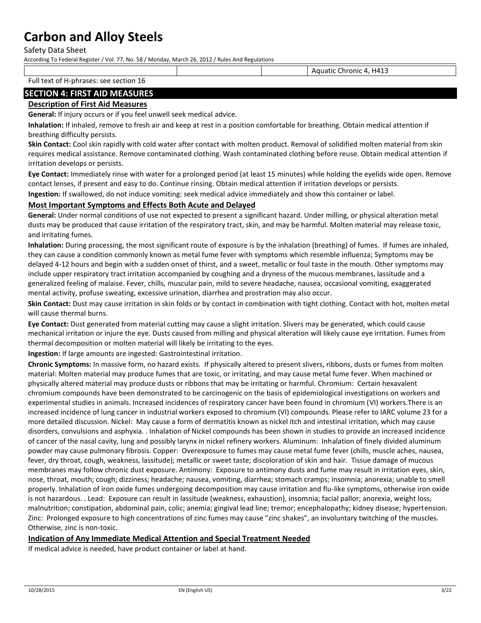#### Safety Data Sheet

According To Federal Register / Vol. 77, No. 58 / Monday, March 26, 2012 / Rules And Regulations

Aquatic Chronic 4, H413 Full text of H-phrases: see section 16

## **SECTION 4: FIRST AID MEASURES**

## **Description of First Aid Measures**

**General:** If injury occurs or if you feel unwell seek medical advice.

**Inhalation:** If inhaled, remove to fresh air and keep at rest in a position comfortable for breathing. Obtain medical attention if breathing difficulty persists.

**Skin Contact:** Cool skin rapidly with cold water after contact with molten product. Removal of solidified molten material from skin requires medical assistance. Remove contaminated clothing. Wash contaminated clothing before reuse. Obtain medical attention if irritation develops or persists.

**Eye Contact:** Immediately rinse with water for a prolonged period (at least 15 minutes) while holding the eyelids wide open. Remove contact lenses, if present and easy to do. Continue rinsing. Obtain medical attention if irritation develops or persists.

**Ingestion:** If swallowed, do not induce vomiting: seek medical advice immediately and show this container or label.

### **Most Important Symptoms and Effects Both Acute and Delayed**

**General:** Under normal conditions of use not expected to present a significant hazard. Under milling, or physical alteration metal dusts may be produced that cause irritation of the respiratory tract, skin, and may be harmful. Molten material may release toxic, and irritating fumes.

**Inhalation:** During processing, the most significant route of exposure is by the inhalation (breathing) of fumes. If fumes are inhaled, they can cause a condition commonly known as metal fume fever with symptoms which resemble influenza; Symptoms may be delayed 4-12 hours and begin with a sudden onset of thirst, and a sweet, metallic or foul taste in the mouth. Other symptoms may include upper respiratory tract irritation accompanied by coughing and a dryness of the mucous membranes, lassitude and a generalized feeling of malaise. Fever, chills, muscular pain, mild to severe headache, nausea, occasional vomiting, exaggerated mental activity, profuse sweating, excessive urination, diarrhea and prostration may also occur.

**Skin Contact:** Dust may cause irritation in skin folds or by contact in combination with tight clothing. Contact with hot, molten metal will cause thermal burns.

**Eye Contact:** Dust generated from material cutting may cause a slight irritation. Slivers may be generated, which could cause mechanical irritation or injure the eye. Dusts caused from milling and physical alteration will likely cause eye irritation. Fumes from thermal decomposition or molten material will likely be irritating to the eyes.

**Ingestion:** If large amounts are ingested: Gastrointestinal irritation.

**Chronic Symptoms:** In massive form, no hazard exists. If physically altered to present slivers, ribbons, dusts or fumes from molten material: Molten material may produce fumes that are toxic, or irritating, and may cause metal fume fever. When machined or physically altered material may produce dusts or ribbons that may be irritating or harmful. Chromium: Certain hexavalent chromium compounds have been demonstrated to be carcinogenic on the basis of epidemiological investigations on workers and experimental studies in animals. Increased incidences of respiratory cancer have been found in chromium (VI) workers.There is an increased incidence of lung cancer in industrial workers exposed to chromium (VI) compounds. Please refer to IARC volume 23 for a more detailed discussion. Nickel: May cause a form of dermatitis known as nickel itch and intestinal irritation, which may cause disorders, convulsions and asphyxia. . Inhalation of Nickel compounds has been shown in studies to provide an increased incidence of cancer of the nasal cavity, lung and possibly larynx in nickel refinery workers. Aluminum: Inhalation of finely divided aluminum powder may cause pulmonary fibrosis. Copper: Overexposure to fumes may cause metal fume fever (chills, muscle aches, nausea, fever, dry throat, cough, weakness, lassitude); metallic or sweet taste; discoloration of skin and hair. Tissue damage of mucous membranes may follow chronic dust exposure. Antimony: Exposure to antimony dusts and fume may result in irritation eyes, skin, nose, throat, mouth; cough; dizziness; headache; nausea, vomiting, diarrhea; stomach cramps; insomnia; anorexia; unable to smell properly. Inhalation of iron oxide fumes undergoing decomposition may cause irritation and flu-like symptoms, otherwise iron oxide is not hazardous. . Lead: Exposure can result in lassitude (weakness, exhaustion), insomnia; facial pallor; anorexia, weight loss, malnutrition; constipation, abdominal pain, colic; anemia; gingival lead line; tremor; encephalopathy; kidney disease; hypertension. Zinc: Prolonged exposure to high concentrations of zinc fumes may cause "zinc shakes", an involuntary twitching of the muscles. Otherwise, zinc is non-toxic.

### **Indication of Any Immediate Medical Attention and Special Treatment Needed**

If medical advice is needed, have product container or label at hand.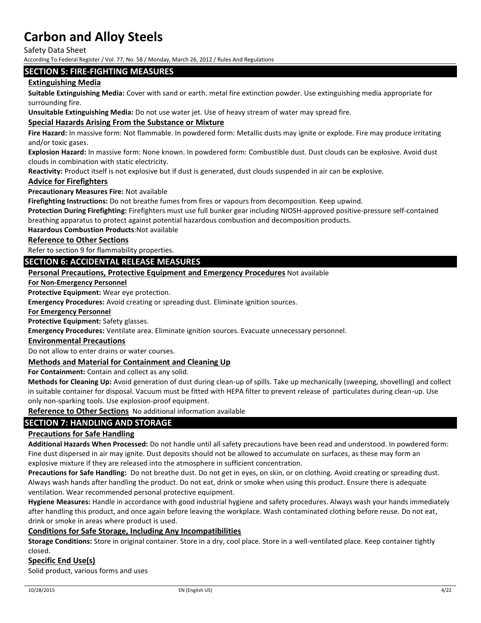Safety Data Sheet

According To Federal Register / Vol. 77, No. 58 / Monday, March 26, 2012 / Rules And Regulations

### **SECTION 5: FIRE-FIGHTING MEASURES**

### **Extinguishing Media**

**Suitable Extinguishing Media:** Cover with sand or earth. metal fire extinction powder. Use extinguishing media appropriate for surrounding fire.

**Unsuitable Extinguishing Media:** Do not use water jet. Use of heavy stream of water may spread fire.

#### **Special Hazards Arising From the Substance or Mixture**

**Fire Hazard:** In massive form: Not flammable. In powdered form: Metallic dusts may ignite or explode. Fire may produce irritating and/or toxic gases.

**Explosion Hazard:** In massive form: None known. In powdered form: Combustible dust. Dust clouds can be explosive. Avoid dust clouds in combination with static electricity.

**Reactivity:** Product itself is not explosive but if dust is generated, dust clouds suspended in air can be explosive.

### **Advice for Firefighters**

**Precautionary Measures Fire:** Not available

**Firefighting Instructions:** Do not breathe fumes from fires or vapours from decomposition. Keep upwind.

**Protection During Firefighting:** Firefighters must use full bunker gear including NIOSH-approved positive-pressure self-contained breathing apparatus to protect against potential hazardous combustion and decomposition products.

**Hazardous Combustion Products**:Not available

#### **Reference to Other Sections**

Refer to section 9 for flammability properties.

## **SECTION 6: ACCIDENTAL RELEASE MEASURES**

### **Personal Precautions, Protective Equipment and Emergency Procedures** Not available

**For Non-Emergency Personnel**

**Protective Equipment:** Wear eye protection.

**Emergency Procedures:** Avoid creating or spreading dust. Eliminate ignition sources.

**For Emergency Personnel**

**Protective Equipment:** Safety glasses.

**Emergency Procedures:** Ventilate area. Eliminate ignition sources. Evacuate unnecessary personnel.

#### **Environmental Precautions**

Do not allow to enter drains or water courses.

### **Methods and Material for Containment and Cleaning Up**

**For Containment:** Contain and collect as any solid.

**Methods for Cleaning Up:** Avoid generation of dust during clean-up of spills. Take up mechanically (sweeping, shovelling) and collect in suitable container for disposal. Vacuum must be fitted with HEPA filter to prevent release of particulates during clean-up. Use only non-sparking tools. Use explosion-proof equipment.

**Reference to Other Sections** No additional information available

### **SECTION 7: HANDLING AND STORAGE**

#### **Precautions for Safe Handling**

**Additional Hazards When Processed:** Do not handle until all safety precautions have been read and understood. In powdered form: Fine dust dispersed in air may ignite. Dust deposits should not be allowed to accumulate on surfaces, as these may form an explosive mixture if they are released into the atmosphere in sufficient concentration.

**Precautions for Safe Handling:** Do not breathe dust. Do not get in eyes, on skin, or on clothing. Avoid creating or spreading dust. Always wash hands after handling the product. Do not eat, drink or smoke when using this product. Ensure there is adequate ventilation. Wear recommended personal protective equipment.

**Hygiene Measures:** Handle in accordance with good industrial hygiene and safety procedures. Always wash your hands immediately after handling this product, and once again before leaving the workplace. Wash contaminated clothing before reuse. Do not eat, drink or smoke in areas where product is used.

#### **Conditions for Safe Storage, Including Any Incompatibilities**

**Storage Conditions:** Store in original container. Store in a dry, cool place. Store in a well-ventilated place. Keep container tightly closed.

### **Specific End Use(s)**

Solid product, various forms and uses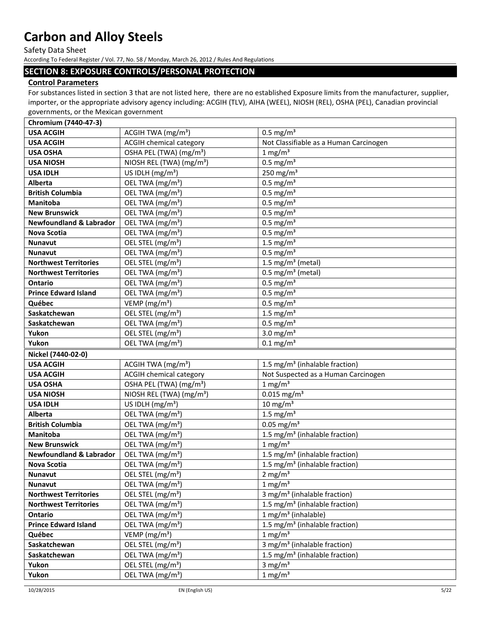Safety Data Sheet

According To Federal Register / Vol. 77, No. 58 / Monday, March 26, 2012 / Rules And Regulations

## **SECTION 8: EXPOSURE CONTROLS/PERSONAL PROTECTION**

### **Control Parameters**

For substances listed in section 3 that are not listed here, there are no established Exposure limits from the manufacturer, supplier, importer, or the appropriate advisory agency including: ACGIH (TLV), AIHA (WEEL), NIOSH (REL), OSHA (PEL), Canadian provincial governments, or the Mexican government

| Chromium (7440-47-3)               |                                      |                                            |
|------------------------------------|--------------------------------------|--------------------------------------------|
| <b>USA ACGIH</b>                   | ACGIH TWA (mg/m <sup>3</sup> )       | $0.5$ mg/m <sup>3</sup>                    |
| <b>USA ACGIH</b>                   | <b>ACGIH chemical category</b>       | Not Classifiable as a Human Carcinogen     |
| <b>USA OSHA</b>                    | OSHA PEL (TWA) (mg/m <sup>3</sup> )  | 1 mg/m <sup>3</sup>                        |
| <b>USA NIOSH</b>                   | NIOSH REL (TWA) (mg/m <sup>3</sup> ) | $0.5$ mg/m <sup>3</sup>                    |
| <b>USA IDLH</b>                    | US IDLH $(mg/m3)$                    | 250 mg/m $3$                               |
| <b>Alberta</b>                     | OEL TWA (mg/m <sup>3</sup> )         | $0.5$ mg/m <sup>3</sup>                    |
| <b>British Columbia</b>            | OEL TWA (mg/m <sup>3</sup> )         | $0.5$ mg/m <sup>3</sup>                    |
| <b>Manitoba</b>                    | OEL TWA (mg/m <sup>3</sup> )         | $0.5$ mg/m <sup>3</sup>                    |
| <b>New Brunswick</b>               | OEL TWA (mg/m <sup>3</sup> )         | $0.5$ mg/m <sup>3</sup>                    |
| <b>Newfoundland &amp; Labrador</b> | OEL TWA (mg/m <sup>3</sup> )         | $0.5$ mg/m <sup>3</sup>                    |
| Nova Scotia                        | OEL TWA (mg/m <sup>3</sup> )         | $0.5$ mg/m <sup>3</sup>                    |
| Nunavut                            | OEL STEL (mg/m <sup>3</sup> )        | 1.5 mg/ $m3$                               |
| <b>Nunavut</b>                     | OEL TWA (mg/m <sup>3</sup> )         | $0.5$ mg/m <sup>3</sup>                    |
| <b>Northwest Territories</b>       | OEL STEL (mg/m <sup>3</sup> )        | 1.5 mg/m <sup>3</sup> (metal)              |
| <b>Northwest Territories</b>       | OEL TWA (mg/m <sup>3</sup> )         | $0.5$ mg/m <sup>3</sup> (metal)            |
| <b>Ontario</b>                     | OEL TWA (mg/m <sup>3</sup> )         | $0.5$ mg/m <sup>3</sup>                    |
| <b>Prince Edward Island</b>        | OEL TWA (mg/m <sup>3</sup> )         | $0.5$ mg/m <sup>3</sup>                    |
| Québec                             | VEMP (mg/m <sup>3</sup> )            | $0.5$ mg/m <sup>3</sup>                    |
| Saskatchewan                       | OEL STEL (mg/m <sup>3</sup> )        | $1.5 \text{ mg/m}^3$                       |
| Saskatchewan                       | OEL TWA (mg/m <sup>3</sup> )         | $0.5$ mg/m <sup>3</sup>                    |
| Yukon                              | OEL STEL (mg/m <sup>3</sup> )        | 3.0 mg/ $m3$                               |
| Yukon                              | OEL TWA (mg/m <sup>3</sup> )         | $0.1 \text{ mg/m}^3$                       |
| Nickel (7440-02-0)                 |                                      |                                            |
| <b>USA ACGIH</b>                   | ACGIH TWA (mg/m <sup>3</sup> )       | 1.5 mg/m <sup>3</sup> (inhalable fraction) |
| <b>USA ACGIH</b>                   | <b>ACGIH chemical category</b>       | Not Suspected as a Human Carcinogen        |
| <b>USA OSHA</b>                    | OSHA PEL (TWA) (mg/m <sup>3</sup> )  | $1 \text{ mg/m}^3$                         |
| <b>USA NIOSH</b>                   | NIOSH REL (TWA) (mg/m <sup>3</sup> ) | $0.015$ mg/m <sup>3</sup>                  |
| <b>USA IDLH</b>                    | US IDLH $(mg/m3)$                    | $10 \text{ mg/m}^3$                        |
| <b>Alberta</b>                     | OEL TWA (mg/m <sup>3</sup> )         | 1.5 mg/ $m3$                               |
| <b>British Columbia</b>            | OEL TWA (mg/m <sup>3</sup> )         | $0.05$ mg/m <sup>3</sup>                   |
| <b>Manitoba</b>                    | OEL TWA (mg/m <sup>3</sup> )         | 1.5 mg/m <sup>3</sup> (inhalable fraction) |
| <b>New Brunswick</b>               | OEL TWA (mg/m <sup>3</sup> )         | $1 \text{ mg/m}^3$                         |
| <b>Newfoundland &amp; Labrador</b> | OEL TWA (mg/m <sup>3</sup> )         | 1.5 mg/m <sup>3</sup> (inhalable fraction) |
| <b>Nova Scotia</b>                 | OEL TWA (mg/m <sup>3</sup> )         | 1.5 mg/m <sup>3</sup> (inhalable fraction) |
| Nunavut                            | OEL STEL (mg/m <sup>3</sup> )        | 2 mg/m <sup>3</sup>                        |
| <b>Nunavut</b>                     | OEL TWA (mg/m <sup>3</sup> )         | $1 \text{ mg/m}^3$                         |
| <b>Northwest Territories</b>       | OEL STEL (mg/m <sup>3</sup> )        | 3 mg/m <sup>3</sup> (inhalable fraction)   |
| <b>Northwest Territories</b>       | OEL TWA (mg/m <sup>3</sup> )         | 1.5 mg/m <sup>3</sup> (inhalable fraction) |
| Ontario                            | OEL TWA (mg/m <sup>3</sup> )         | $1$ mg/m <sup>3</sup> (inhalable)          |
| <b>Prince Edward Island</b>        | OEL TWA (mg/m <sup>3</sup> )         | 1.5 mg/m <sup>3</sup> (inhalable fraction) |
| Québec                             | VEMP ( $mg/m3$ )                     | $1 \text{ mg/m}^3$                         |
| Saskatchewan                       | OEL STEL (mg/m <sup>3</sup> )        | 3 mg/m <sup>3</sup> (inhalable fraction)   |
| Saskatchewan                       | OEL TWA (mg/m <sup>3</sup> )         | 1.5 mg/m <sup>3</sup> (inhalable fraction) |
| Yukon                              | OEL STEL (mg/m <sup>3</sup> )        | 3 mg/ $m3$                                 |
| Yukon                              | OEL TWA (mg/m <sup>3</sup> )         | $1 \text{ mg/m}^3$                         |
|                                    |                                      |                                            |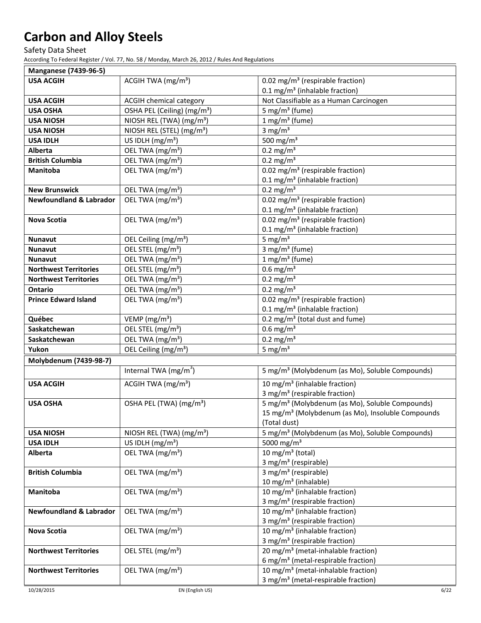Safety Data Sheet

| <b>Manganese (7439-96-5)</b>       |                                         |                                                                                        |
|------------------------------------|-----------------------------------------|----------------------------------------------------------------------------------------|
| <b>USA ACGIH</b>                   | ACGIH TWA $(mg/m3)$                     | 0.02 mg/m <sup>3</sup> (respirable fraction)                                           |
|                                    |                                         | 0.1 mg/m <sup>3</sup> (inhalable fraction)                                             |
| <b>USA ACGIH</b>                   | ACGIH chemical category                 | Not Classifiable as a Human Carcinogen                                                 |
| <b>USA OSHA</b>                    | OSHA PEL (Ceiling) (mg/m <sup>3</sup> ) | 5 mg/m <sup>3</sup> (fume)                                                             |
| <b>USA NIOSH</b>                   | NIOSH REL (TWA) (mg/m <sup>3</sup> )    | $1 mg/m3$ (fume)                                                                       |
| <b>USA NIOSH</b>                   | NIOSH REL (STEL) (mg/m <sup>3</sup> )   | 3 mg/ $m3$                                                                             |
| <b>USA IDLH</b>                    | US IDLH $(mg/m3)$                       | 500 mg/m $3$                                                                           |
| Alberta                            | OEL TWA (mg/m <sup>3</sup> )            | $0.2$ mg/m <sup>3</sup>                                                                |
| <b>British Columbia</b>            | OEL TWA (mg/m <sup>3</sup> )            | $0.2$ mg/m <sup>3</sup>                                                                |
| <b>Manitoba</b>                    | OEL TWA (mg/m <sup>3</sup> )            | 0.02 mg/m <sup>3</sup> (respirable fraction)                                           |
|                                    |                                         | 0.1 mg/m <sup>3</sup> (inhalable fraction)                                             |
| <b>New Brunswick</b>               | OEL TWA (mg/m <sup>3</sup> )            | $0.2 \text{ mg/m}^3$                                                                   |
| <b>Newfoundland &amp; Labrador</b> | OEL TWA (mg/m <sup>3</sup> )            | 0.02 mg/m <sup>3</sup> (respirable fraction)                                           |
|                                    |                                         | 0.1 mg/m <sup>3</sup> (inhalable fraction)                                             |
| <b>Nova Scotia</b>                 | OEL TWA (mg/m <sup>3</sup> )            | 0.02 mg/m <sup>3</sup> (respirable fraction)                                           |
|                                    |                                         | 0.1 mg/m <sup>3</sup> (inhalable fraction)                                             |
| <b>Nunavut</b>                     | OEL Ceiling (mg/m <sup>3</sup> )        | 5 mg/ $m3$                                                                             |
| <b>Nunavut</b>                     | OEL STEL (mg/m <sup>3</sup> )           | 3 mg/m <sup>3</sup> (fume)                                                             |
| <b>Nunavut</b>                     | OEL TWA (mg/m <sup>3</sup> )            | $1$ mg/m <sup>3</sup> (fume)                                                           |
| <b>Northwest Territories</b>       | OEL STEL (mg/m <sup>3</sup> )           | $0.6$ mg/m <sup>3</sup>                                                                |
| <b>Northwest Territories</b>       | OEL TWA (mg/m <sup>3</sup> )            | $0.2 \text{ mg/m}^3$                                                                   |
| <b>Ontario</b>                     | OEL TWA (mg/m <sup>3</sup> )            | $0.2 \text{ mg/m}^3$                                                                   |
| <b>Prince Edward Island</b>        | OEL TWA (mg/m <sup>3</sup> )            | 0.02 mg/m <sup>3</sup> (respirable fraction)                                           |
|                                    |                                         | 0.1 mg/m <sup>3</sup> (inhalable fraction)                                             |
| Québec                             | VEMP ( $mg/m3$ )                        | 0.2 mg/m <sup>3</sup> (total dust and fume)                                            |
| Saskatchewan                       | OEL STEL (mg/m <sup>3</sup> )           | $0.6$ mg/m <sup>3</sup>                                                                |
| Saskatchewan                       | OEL TWA (mg/m <sup>3</sup> )            | $\overline{0.2}$ mg/m <sup>3</sup>                                                     |
| Yukon                              | OEL Ceiling (mg/m <sup>3</sup> )        | 5 mg/ $m3$                                                                             |
| Molybdenum (7439-98-7)             |                                         |                                                                                        |
|                                    | Internal TWA $(mg/m^3)$                 | 5 mg/m <sup>3</sup> (Molybdenum (as Mo), Soluble Compounds)                            |
| <b>USA ACGIH</b>                   | ACGIH TWA $(mg/m3)$                     | 10 mg/m <sup>3</sup> (inhalable fraction)                                              |
|                                    |                                         | 3 mg/m <sup>3</sup> (respirable fraction)                                              |
| <b>USA OSHA</b>                    | OSHA PEL (TWA) (mg/m <sup>3</sup> )     | 5 mg/m <sup>3</sup> (Molybdenum (as Mo), Soluble Compounds)                            |
|                                    |                                         | 15 mg/m <sup>3</sup> (Molybdenum (as Mo), Insoluble Compounds                          |
|                                    |                                         | (Total dust)                                                                           |
| <b>USA NIOSH</b>                   | NIOSH REL (TWA) (mg/m <sup>3</sup> )    | 5 mg/m <sup>3</sup> (Molybdenum (as Mo), Soluble Compounds)                            |
| <b>USA IDLH</b>                    | US IDLH $(mg/m3)$                       | 5000 mg/m <sup>3</sup>                                                                 |
| <b>Alberta</b>                     | OEL TWA (mg/m <sup>3</sup> )            | 10 mg/m $3$ (total)                                                                    |
|                                    |                                         | 3 mg/m <sup>3</sup> (respirable)                                                       |
| <b>British Columbia</b>            | OEL TWA (mg/m <sup>3</sup> )            | 3 mg/m <sup>3</sup> (respirable)                                                       |
|                                    |                                         | 10 mg/m <sup>3</sup> (inhalable)                                                       |
| Manitoba                           | OEL TWA (mg/m <sup>3</sup> )            | $\overline{10 \text{ mg}}/\text{m}^3$ (inhalable fraction)                             |
| <b>Newfoundland &amp; Labrador</b> |                                         | 3 mg/m <sup>3</sup> (respirable fraction)                                              |
|                                    | OEL TWA (mg/m <sup>3</sup> )            | 10 mg/m <sup>3</sup> (inhalable fraction)<br>3 mg/m <sup>3</sup> (respirable fraction) |
| <b>Nova Scotia</b>                 | OEL TWA (mg/m <sup>3</sup> )            | 10 mg/m <sup>3</sup> (inhalable fraction)                                              |
|                                    |                                         | 3 mg/m <sup>3</sup> (respirable fraction)                                              |
| <b>Northwest Territories</b>       | OEL STEL (mg/m <sup>3</sup> )           | 20 mg/m <sup>3</sup> (metal-inhalable fraction)                                        |
|                                    |                                         | 6 mg/m <sup>3</sup> (metal-respirable fraction)                                        |
| <b>Northwest Territories</b>       | OEL TWA (mg/m <sup>3</sup> )            | 10 mg/m <sup>3</sup> (metal-inhalable fraction)                                        |
|                                    |                                         | 3 mg/m <sup>3</sup> (metal-respirable fraction)                                        |
|                                    |                                         |                                                                                        |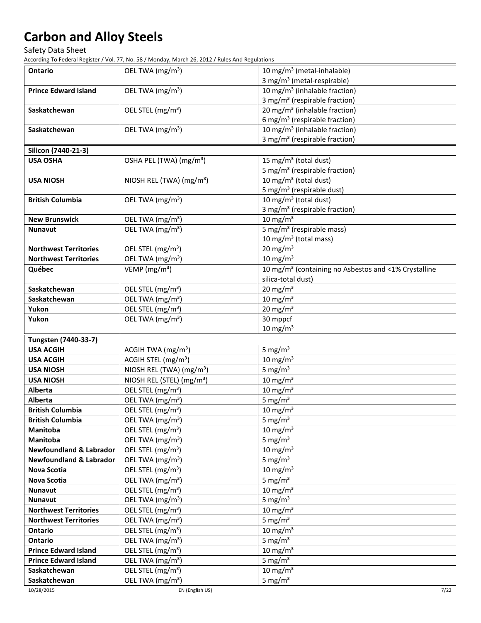Safety Data Sheet

| Ontario                                                    | OEL TWA (mg/m <sup>3</sup> )                                  | 10 mg/m <sup>3</sup> (metal-inhalable)                                     |
|------------------------------------------------------------|---------------------------------------------------------------|----------------------------------------------------------------------------|
|                                                            |                                                               | 3 mg/m <sup>3</sup> (metal-respirable)                                     |
| <b>Prince Edward Island</b>                                | OEL TWA (mg/m <sup>3</sup> )                                  | 10 mg/m <sup>3</sup> (inhalable fraction)                                  |
|                                                            |                                                               | 3 mg/m <sup>3</sup> (respirable fraction)                                  |
| Saskatchewan                                               | OEL STEL (mg/m <sup>3</sup> )                                 | 20 mg/m <sup>3</sup> (inhalable fraction)                                  |
|                                                            |                                                               | 6 mg/m <sup>3</sup> (respirable fraction)                                  |
| Saskatchewan                                               | OEL TWA (mg/m <sup>3</sup> )                                  | 10 mg/m <sup>3</sup> (inhalable fraction)                                  |
|                                                            |                                                               | 3 mg/m <sup>3</sup> (respirable fraction)                                  |
| Silicon (7440-21-3)                                        |                                                               |                                                                            |
| <b>USA OSHA</b>                                            | OSHA PEL (TWA) (mg/m <sup>3</sup> )                           | 15 mg/m <sup>3</sup> (total dust)                                          |
|                                                            |                                                               | 5 mg/m <sup>3</sup> (respirable fraction)                                  |
| <b>USA NIOSH</b>                                           | NIOSH REL (TWA) (mg/m <sup>3</sup> )                          | 10 mg/m <sup>3</sup> (total dust)                                          |
|                                                            |                                                               | 5 mg/m <sup>3</sup> (respirable dust)                                      |
| <b>British Columbia</b>                                    | OEL TWA (mg/m <sup>3</sup> )                                  | 10 mg/m <sup>3</sup> (total dust)                                          |
|                                                            |                                                               | 3 mg/m <sup>3</sup> (respirable fraction)                                  |
| <b>New Brunswick</b>                                       | OEL TWA (mg/m <sup>3</sup> )                                  | $10 \text{ mg/m}^3$                                                        |
| <b>Nunavut</b>                                             | OEL TWA (mg/m <sup>3</sup> )                                  | 5 mg/m <sup>3</sup> (respirable mass)<br>10 mg/m <sup>3</sup> (total mass) |
| <b>Northwest Territories</b>                               | OEL STEL (mg/m <sup>3</sup> )                                 | $20 \text{ mg/m}^3$                                                        |
| <b>Northwest Territories</b>                               | OEL TWA (mg/m <sup>3</sup> )                                  | $10 \text{ mg/m}^3$                                                        |
| Québec                                                     | VEMP ( $mg/m3$ )                                              | 10 mg/m <sup>3</sup> (containing no Asbestos and <1% Crystalline           |
|                                                            |                                                               | silica-total dust)                                                         |
| Saskatchewan                                               | OEL STEL (mg/m <sup>3</sup> )                                 | $20 \text{ mg/m}^3$                                                        |
| Saskatchewan                                               | OEL TWA (mg/m <sup>3</sup> )                                  | $10 \text{ mg/m}^3$                                                        |
| Yukon                                                      | OEL STEL (mg/m <sup>3</sup> )                                 | $20 \text{ mg/m}^3$                                                        |
| Yukon                                                      | OEL TWA (mg/m <sup>3</sup> )                                  | 30 mppcf                                                                   |
|                                                            |                                                               | $10 \text{ mg/m}^3$                                                        |
| Tungsten (7440-33-7)                                       |                                                               |                                                                            |
| <b>USA ACGIH</b>                                           | ACGIH TWA (mg/m <sup>3</sup> )                                | 5 mg/ $m3$                                                                 |
| <b>USA ACGIH</b>                                           | ACGIH STEL (mg/m <sup>3</sup> )                               | $10 \text{ mg/m}^3$                                                        |
| <b>USA NIOSH</b>                                           | NIOSH REL (TWA) (mg/m <sup>3</sup> )                          | 5 mg/ $m3$                                                                 |
| <b>USA NIOSH</b>                                           | NIOSH REL (STEL) (mg/m <sup>3</sup> )                         | $10 \text{ mg/m}^3$                                                        |
| Alberta                                                    | OEL STEL (mg/m <sup>3</sup> )                                 | $10 \text{ mg/m}^3$                                                        |
| Alberta                                                    | OEL TWA (mg/m <sup>3</sup> )                                  | 5 mg/ $m3$                                                                 |
| <b>British Columbia</b>                                    | OEL STEL (mg/m <sup>3</sup> )                                 | $10 \text{ mg/m}^3$                                                        |
| <b>British Columbia</b>                                    | OEL TWA (mg/m <sup>3</sup> )                                  | 5 mg/ $m3$                                                                 |
| Manitoba                                                   | OEL STEL (mg/m <sup>3</sup> )                                 | $10 \text{ mg/m}^3$                                                        |
| Manitoba                                                   | OEL TWA (mg/m <sup>3</sup> )                                  | 5 mg/ $m3$                                                                 |
| <b>Newfoundland &amp; Labrador</b>                         | OEL STEL (mg/m <sup>3</sup> )                                 | $10 \text{ mg/m}^3$                                                        |
| <b>Newfoundland &amp; Labrador</b>                         | OEL TWA (mg/m <sup>3</sup> )                                  | 5 mg/ $m3$                                                                 |
| <b>Nova Scotia</b>                                         | OEL STEL (mg/m <sup>3</sup> )                                 | 10 mg/m $3$                                                                |
| <b>Nova Scotia</b>                                         | OEL TWA (mg/m <sup>3</sup> )                                  | 5 mg/ $m3$                                                                 |
| <b>Nunavut</b>                                             | OEL STEL (mg/m <sup>3</sup> )                                 | $10 \text{ mg/m}^3$                                                        |
| Nunavut                                                    | OEL TWA (mg/m <sup>3</sup> )                                  | 5 mg/ $m3$                                                                 |
| <b>Northwest Territories</b>                               | OEL STEL (mg/m <sup>3</sup> )                                 | $10 \text{ mg/m}^3$                                                        |
| <b>Northwest Territories</b>                               | OEL TWA (mg/m <sup>3</sup> )                                  | 5 mg/ $m3$                                                                 |
| Ontario                                                    | OEL STEL (mg/m <sup>3</sup> )                                 | $10 \text{ mg/m}^3$                                                        |
| Ontario                                                    | OEL TWA (mg/m <sup>3</sup> )                                  | 5 mg/ $m3$                                                                 |
| <b>Prince Edward Island</b><br><b>Prince Edward Island</b> | OEL STEL (mg/m <sup>3</sup> )<br>OEL TWA (mg/m <sup>3</sup> ) | 10 mg/m $3$<br>5 mg/ $m3$                                                  |
| Saskatchewan                                               | OEL STEL (mg/m <sup>3</sup> )                                 | $10 \text{ mg/m}^3$                                                        |
| Saskatchewan                                               | OEL TWA (mg/m <sup>3</sup> )                                  | 5 mg/ $m3$                                                                 |
| 10/28/2015                                                 | EN (English US)                                               | 7/22                                                                       |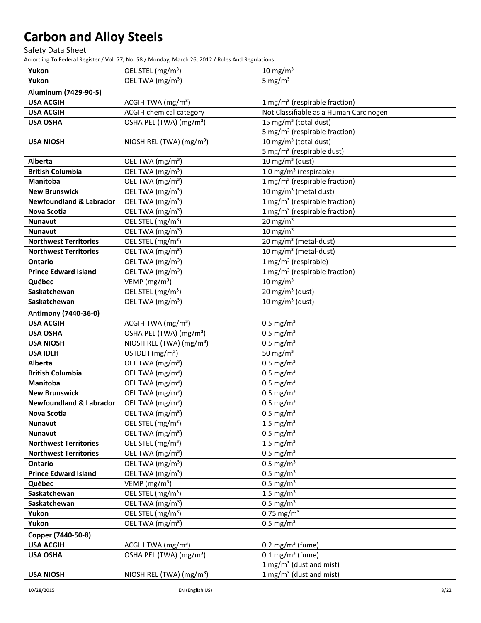Safety Data Sheet

| Yukon                               | OEL STEL (mg/m <sup>3</sup> )                                               | $10 \text{ mg/m}^3$                                       |
|-------------------------------------|-----------------------------------------------------------------------------|-----------------------------------------------------------|
| Yukon                               | OEL TWA (mg/m <sup>3</sup> )                                                | 5 mg/ $m3$                                                |
| Aluminum (7429-90-5)                |                                                                             |                                                           |
| <b>USA ACGIH</b>                    | ACGIH TWA (mg/m <sup>3</sup> )                                              | 1 mg/m <sup>3</sup> (respirable fraction)                 |
| <b>USA ACGIH</b>                    | <b>ACGIH chemical category</b>                                              | Not Classifiable as a Human Carcinogen                    |
| <b>USA OSHA</b>                     | OSHA PEL (TWA) (mg/m <sup>3</sup> )                                         | 15 mg/m <sup>3</sup> (total dust)                         |
|                                     |                                                                             | 5 mg/m <sup>3</sup> (respirable fraction)                 |
| <b>USA NIOSH</b>                    | NIOSH REL (TWA) (mg/m <sup>3</sup> )                                        | 10 mg/m <sup>3</sup> (total dust)                         |
|                                     |                                                                             | 5 mg/m <sup>3</sup> (respirable dust)                     |
| Alberta                             | OEL TWA (mg/m <sup>3</sup> )                                                | 10 mg/m <sup>3</sup> (dust)                               |
| <b>British Columbia</b>             | OEL TWA (mg/m <sup>3</sup> )                                                | 1.0 mg/m <sup>3</sup> (respirable)                        |
| <b>Manitoba</b>                     | OEL TWA (mg/m <sup>3</sup> )                                                | 1 mg/m <sup>3</sup> (respirable fraction)                 |
| <b>New Brunswick</b>                | OEL TWA (mg/m <sup>3</sup> )                                                | 10 mg/m <sup>3</sup> (metal dust)                         |
| <b>Newfoundland &amp; Labrador</b>  | OEL TWA (mg/m <sup>3</sup> )                                                | 1 mg/m <sup>3</sup> (respirable fraction)                 |
| <b>Nova Scotia</b>                  | OEL TWA (mg/m <sup>3</sup> )                                                | 1 mg/m <sup>3</sup> (respirable fraction)                 |
| <b>Nunavut</b>                      | OEL STEL (mg/m <sup>3</sup> )                                               | $20 \text{ mg/m}^3$                                       |
| <b>Nunavut</b>                      | OEL TWA (mg/m <sup>3</sup> )                                                | $10 \text{ mg/m}^3$                                       |
| <b>Northwest Territories</b>        | OEL STEL (mg/m <sup>3</sup> )                                               | 20 mg/m <sup>3</sup> (metal-dust)                         |
| <b>Northwest Territories</b>        | OEL TWA (mg/m <sup>3</sup> )                                                | 10 mg/m <sup>3</sup> (metal-dust)                         |
| Ontario                             | OEL TWA (mg/m <sup>3</sup> )                                                | 1 mg/m <sup>3</sup> (respirable)                          |
| <b>Prince Edward Island</b>         | OEL TWA (mg/m <sup>3</sup> )                                                | 1 mg/m <sup>3</sup> (respirable fraction)                 |
| Québec                              | VEMP (mg/m <sup>3</sup> )                                                   | $10 \text{ mg/m}^3$                                       |
| Saskatchewan                        | OEL STEL (mg/m <sup>3</sup> )<br>OEL TWA (mg/m <sup>3</sup> )               | $20 \text{ mg/m}^3$ (dust)<br>10 mg/m <sup>3</sup> (dust) |
| Saskatchewan                        |                                                                             |                                                           |
| Antimony (7440-36-0)                |                                                                             |                                                           |
| <b>USA ACGIH</b>                    | ACGIH TWA $(mg/m3)$                                                         | $0.5 \text{ mg/m}^3$                                      |
| <b>USA OSHA</b>                     | OSHA PEL (TWA) (mg/m <sup>3</sup> )<br>NIOSH REL (TWA) (mg/m <sup>3</sup> ) | $0.5$ mg/m <sup>3</sup><br>$0.5$ mg/m <sup>3</sup>        |
| <b>USA NIOSH</b><br><b>USA IDLH</b> | US IDLH (mg/m <sup>3</sup> )                                                | 50 mg/ $m3$                                               |
| Alberta                             | OEL TWA (mg/m <sup>3</sup> )                                                | $0.5$ mg/m <sup>3</sup>                                   |
| <b>British Columbia</b>             | OEL TWA (mg/m <sup>3</sup> )                                                | $0.5$ mg/m <sup>3</sup>                                   |
| Manitoba                            | OEL TWA (mg/m <sup>3</sup> )                                                | $0.5$ mg/m <sup>3</sup>                                   |
| <b>New Brunswick</b>                | OEL TWA (mg/m <sup>3</sup> )                                                | $0.5$ mg/m <sup>3</sup>                                   |
| <b>Newfoundland &amp; Labrador</b>  | OEL TWA (mg/m <sup>3</sup> )                                                | $0.5$ mg/m <sup>3</sup>                                   |
| <b>Nova Scotia</b>                  | OEL TWA (mg/m <sup>3</sup> )                                                | $0.5 \text{ mg/m}^3$                                      |
| <b>Nunavut</b>                      | OEL STEL (mg/m <sup>3</sup> )                                               | 1.5 mg/ $m3$                                              |
| <b>Nunavut</b>                      | OEL TWA (mg/m <sup>3</sup> )                                                | $0.5$ mg/m <sup>3</sup>                                   |
| <b>Northwest Territories</b>        | OEL STEL (mg/m <sup>3</sup> )                                               | 1.5 mg/ $m3$                                              |
| <b>Northwest Territories</b>        | OEL TWA (mg/m <sup>3</sup> )                                                | $0.5 \text{ mg/m}^3$                                      |
| Ontario                             | OEL TWA (mg/m <sup>3</sup> )                                                | $0.5 \text{ mg/m}^3$                                      |
| <b>Prince Edward Island</b>         | OEL TWA (mg/m <sup>3</sup> )                                                | $0.5 \text{ mg/m}^3$                                      |
| Québec                              | VEMP ( $mg/m3$ )                                                            | $0.5 \text{ mg/m}^3$                                      |
| Saskatchewan                        | OEL STEL (mg/m <sup>3</sup> )                                               | 1.5 mg/ $m3$                                              |
| Saskatchewan                        | OEL TWA (mg/m <sup>3</sup> )                                                | $0.5 \text{ mg/m}^3$                                      |
| Yukon                               | OEL STEL (mg/m <sup>3</sup> )                                               | $0.75$ mg/m <sup>3</sup>                                  |
| Yukon                               | OEL TWA (mg/m <sup>3</sup> )                                                | $0.5 \text{ mg/m}^3$                                      |
| Copper (7440-50-8)                  |                                                                             |                                                           |
| <b>USA ACGIH</b>                    | ACGIH TWA (mg/m <sup>3</sup> )                                              | $0.2$ mg/m <sup>3</sup> (fume)                            |
| <b>USA OSHA</b>                     | OSHA PEL (TWA) (mg/m <sup>3</sup> )                                         | $0.1 \text{ mg/m}^3$ (fume)                               |
|                                     |                                                                             | 1 mg/m <sup>3</sup> (dust and mist)                       |
| <b>USA NIOSH</b>                    | NIOSH REL (TWA) (mg/m <sup>3</sup> )                                        | 1 mg/m <sup>3</sup> (dust and mist)                       |
| 10/28/2015                          | EN (English US)                                                             | 8/22                                                      |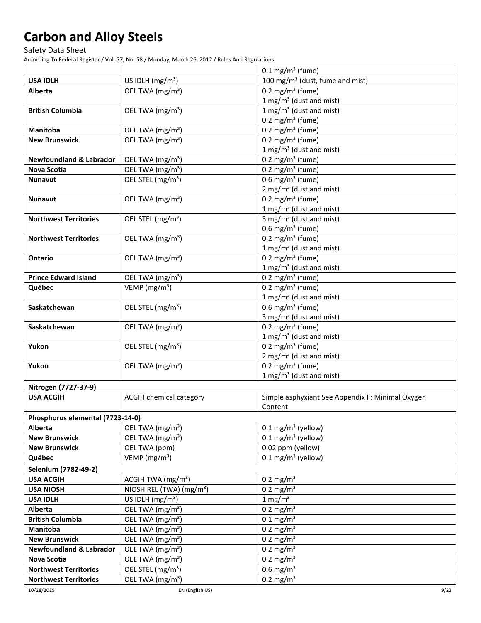Safety Data Sheet

|                                    |                                      | $0.1 \text{ mg/m}^3$ (fume)                                        |
|------------------------------------|--------------------------------------|--------------------------------------------------------------------|
| <b>USA IDLH</b>                    | US IDLH $(mg/m3)$                    | 100 mg/m <sup>3</sup> (dust, fume and mist)                        |
| Alberta                            | OEL TWA (mg/m <sup>3</sup> )         | $0.2 \text{ mg/m}^3$ (fume)                                        |
|                                    |                                      | 1 mg/m <sup>3</sup> (dust and mist)                                |
| <b>British Columbia</b>            | OEL TWA (mg/m <sup>3</sup> )         | 1 mg/m <sup>3</sup> (dust and mist)                                |
|                                    |                                      | 0.2 mg/m <sup>3</sup> (fume)                                       |
| <b>Manitoba</b>                    | OEL TWA (mg/m <sup>3</sup> )         | $0.2 \text{ mg/m}^3$ (fume)                                        |
| <b>New Brunswick</b>               | OEL TWA (mg/m <sup>3</sup> )         | $0.2 \text{ mg/m}^3$ (fume)                                        |
|                                    |                                      | 1 mg/m <sup>3</sup> (dust and mist)                                |
| <b>Newfoundland &amp; Labrador</b> | OEL TWA (mg/m <sup>3</sup> )         | $0.2$ mg/m <sup>3</sup> (fume)                                     |
| <b>Nova Scotia</b>                 | OEL TWA (mg/m <sup>3</sup> )         | $0.2 \text{ mg/m}^3$ (fume)                                        |
| <b>Nunavut</b>                     | OEL STEL (mg/m <sup>3</sup> )        | $0.6$ mg/m <sup>3</sup> (fume)                                     |
|                                    |                                      | 2 mg/m <sup>3</sup> (dust and mist)                                |
| <b>Nunavut</b>                     | OEL TWA (mg/m <sup>3</sup> )         | $0.2 \text{ mg/m}^3$ (fume)                                        |
|                                    |                                      | 1 mg/m <sup>3</sup> (dust and mist)                                |
| <b>Northwest Territories</b>       | OEL STEL (mg/m <sup>3</sup> )        | $3$ mg/m <sup>3</sup> (dust and mist)                              |
|                                    |                                      | 0.6 mg/m <sup>3</sup> (fume)                                       |
| <b>Northwest Territories</b>       | OEL TWA (mg/m <sup>3</sup> )         | $0.2 \text{ mg/m}^3$ (fume)                                        |
|                                    |                                      | 1 mg/m <sup>3</sup> (dust and mist)                                |
| Ontario                            | OEL TWA (mg/m <sup>3</sup> )         | $0.2 \text{ mg/m}^3$ (fume)                                        |
|                                    |                                      | 1 mg/m <sup>3</sup> (dust and mist)                                |
| <b>Prince Edward Island</b>        | OEL TWA (mg/m <sup>3</sup> )         | 0.2 mg/m <sup>3</sup> (fume)                                       |
| Québec                             | VEMP ( $mg/m3$ )                     | $0.2 \text{ mg/m}^3$ (fume)                                        |
|                                    |                                      | 1 mg/m <sup>3</sup> (dust and mist)                                |
| Saskatchewan                       | OEL STEL (mg/m <sup>3</sup> )        | $\overline{0.6}$ mg/m <sup>3</sup> (fume)                          |
|                                    |                                      | 3 mg/m <sup>3</sup> (dust and mist)                                |
| Saskatchewan                       | OEL TWA (mg/m <sup>3</sup> )         | $0.2 \text{ mg/m}^3$ (fume)                                        |
| Yukon                              | OEL STEL (mg/m <sup>3</sup> )        | 1 mg/m <sup>3</sup> (dust and mist)<br>$0.2 \text{ mg/m}^3$ (fume) |
|                                    |                                      | 2 mg/m <sup>3</sup> (dust and mist)                                |
| Yukon                              | OEL TWA (mg/m <sup>3</sup> )         | $0.2 \text{ mg/m}^3$ (fume)                                        |
|                                    |                                      | 1 mg/m <sup>3</sup> (dust and mist)                                |
| Nitrogen (7727-37-9)               |                                      |                                                                    |
| <b>USA ACGIH</b>                   | <b>ACGIH chemical category</b>       | Simple asphyxiant See Appendix F: Minimal Oxygen                   |
|                                    |                                      | Content                                                            |
| Phosphorus elemental (7723-14-0)   |                                      |                                                                    |
| <b>Alberta</b>                     | OEL TWA (mg/m <sup>3</sup> )         | $0.1 \text{ mg/m}^3$ (yellow)                                      |
| <b>New Brunswick</b>               | OEL TWA (mg/m <sup>3</sup> )         | $0.1 \text{ mg/m}^3$ (yellow)                                      |
| <b>New Brunswick</b>               | OEL TWA (ppm)                        | 0.02 ppm (yellow)                                                  |
| Québec                             | VEMP (mg/m <sup>3</sup> )            | $0.1 \text{ mg/m}^3$ (yellow)                                      |
| Selenium (7782-49-2)               |                                      |                                                                    |
| <b>USA ACGIH</b>                   | ACGIH TWA (mg/m <sup>3</sup> )       | $0.2 \text{ mg/m}^3$                                               |
| <b>USA NIOSH</b>                   | NIOSH REL (TWA) (mg/m <sup>3</sup> ) | $0.2 \text{ mg/m}^3$                                               |
| <b>USA IDLH</b>                    | US IDLH (mg/m <sup>3</sup> )         | $1 \text{ mg/m}^3$                                                 |
| Alberta                            | OEL TWA (mg/m <sup>3</sup> )         | $0.2$ mg/m <sup>3</sup>                                            |
| <b>British Columbia</b>            | OEL TWA (mg/m <sup>3</sup> )         | $0.1 \text{ mg/m}^3$                                               |
| Manitoba                           | OEL TWA (mg/m <sup>3</sup> )         | $0.2 \text{ mg/m}^3$                                               |
| <b>New Brunswick</b>               | OEL TWA (mg/m <sup>3</sup> )         | $0.2 \text{ mg/m}^3$                                               |
| <b>Newfoundland &amp; Labrador</b> | OEL TWA (mg/m <sup>3</sup> )         | $0.2 \text{ mg/m}^3$                                               |
| <b>Nova Scotia</b>                 | OEL TWA (mg/m <sup>3</sup> )         | $0.2 \text{ mg/m}^3$                                               |
| <b>Northwest Territories</b>       | OEL STEL (mg/m <sup>3</sup> )        | $0.6$ mg/m <sup>3</sup>                                            |
| <b>Northwest Territories</b>       | OEL TWA (mg/m <sup>3</sup> )         | $0.2 \text{ mg/m}^3$                                               |
|                                    |                                      |                                                                    |

<sup>10/28/2015</sup> EN (English US) 9/22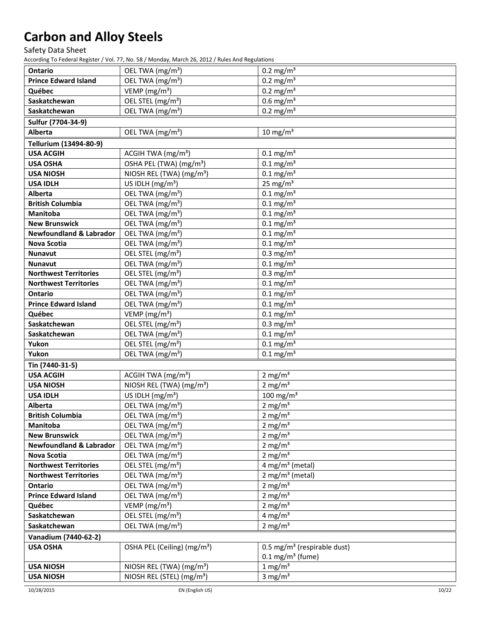Safety Data Sheet

| Ontario                            | OEL TWA (mg/m <sup>3</sup> )            | $0.2 \text{ mg/m}^3$                                                   |
|------------------------------------|-----------------------------------------|------------------------------------------------------------------------|
| <b>Prince Edward Island</b>        | OEL TWA (mg/m <sup>3</sup> )            | $0.2 \text{ mg/m}^3$                                                   |
| Québec                             | VEMP (mg/m <sup>3</sup> )               | $0.2 \text{ mg/m}^3$                                                   |
| Saskatchewan                       | OEL STEL (mg/m <sup>3</sup> )           | $0.6$ mg/m <sup>3</sup>                                                |
| Saskatchewan                       | OEL TWA (mg/m <sup>3</sup> )            | $0.2 \text{ mg/m}^3$                                                   |
| Sulfur (7704-34-9)                 |                                         |                                                                        |
| <b>Alberta</b>                     | OEL TWA (mg/m <sup>3</sup> )            | 10 mg/m <sup>3</sup>                                                   |
| Tellurium (13494-80-9)             |                                         |                                                                        |
| <b>USA ACGIH</b>                   | ACGIH TWA (mg/m <sup>3</sup> )          | $0.1 \text{ mg/m}^3$                                                   |
| <b>USA OSHA</b>                    | OSHA PEL (TWA) (mg/m <sup>3</sup> )     | $0.1$ mg/m <sup>3</sup>                                                |
| <b>USA NIOSH</b>                   | NIOSH REL (TWA) (mg/m <sup>3</sup> )    | $0.1 \text{ mg/m}^3$                                                   |
| <b>USA IDLH</b>                    | US IDLH $(mg/m3)$                       | 25 mg/ $m3$                                                            |
| <b>Alberta</b>                     | OEL TWA (mg/m <sup>3</sup> )            | $0.1 \text{ mg/m}^3$                                                   |
| <b>British Columbia</b>            | OEL TWA (mg/m <sup>3</sup> )            | $0.1$ mg/m <sup>3</sup>                                                |
| <b>Manitoba</b>                    | OEL TWA (mg/m <sup>3</sup> )            | $0.1 \text{ mg/m}^3$                                                   |
| <b>New Brunswick</b>               | OEL TWA (mg/m <sup>3</sup> )            | $0.1$ mg/m <sup>3</sup>                                                |
| <b>Newfoundland &amp; Labrador</b> | OEL TWA (mg/m <sup>3</sup> )            | $0.1 \text{ mg/m}^3$                                                   |
| <b>Nova Scotia</b>                 | OEL TWA (mg/m <sup>3</sup> )            | $0.1$ mg/m <sup>3</sup>                                                |
| <b>Nunavut</b>                     | OEL STEL (mg/m <sup>3</sup> )           | $0.3$ mg/m <sup>3</sup>                                                |
| <b>Nunavut</b>                     | OEL TWA (mg/m <sup>3</sup> )            | $0.1 \text{ mg/m}^3$                                                   |
| <b>Northwest Territories</b>       | OEL STEL (mg/m <sup>3</sup> )           | $0.3$ mg/m <sup>3</sup>                                                |
| <b>Northwest Territories</b>       | OEL TWA (mg/m <sup>3</sup> )            | $0.1 \text{ mg/m}^3$                                                   |
| Ontario                            | OEL TWA (mg/m <sup>3</sup> )            | $0.1 \text{ mg/m}^3$                                                   |
| <b>Prince Edward Island</b>        | OEL TWA (mg/m <sup>3</sup> )            | $0.1 \text{ mg/m}^3$                                                   |
| Québec                             | VEMP ( $mg/m3$ )                        | $0.1 \text{ mg/m}^3$                                                   |
| Saskatchewan                       | OEL STEL (mg/m <sup>3</sup> )           | $0.3$ mg/m <sup>3</sup>                                                |
| Saskatchewan                       | OEL TWA (mg/m <sup>3</sup> )            | $0.1$ mg/m <sup>3</sup>                                                |
| Yukon                              | OEL STEL (mg/m <sup>3</sup> )           | $0.1 \text{ mg/m}^3$                                                   |
| Yukon                              | OEL TWA (mg/m <sup>3</sup> )            | $0.1 \text{ mg/m}^3$                                                   |
| Tin (7440-31-5)                    |                                         |                                                                        |
| <b>USA ACGIH</b>                   | ACGIH TWA (mg/m <sup>3</sup> )          | $2 \text{ mg/m}^3$                                                     |
| <b>USA NIOSH</b>                   | NIOSH REL (TWA) (mg/m <sup>3</sup> )    | 2 mg/ $m3$                                                             |
| <b>USA IDLH</b>                    | US IDLH $(mg/m3)$                       | 100 mg/m $3$                                                           |
| Alberta                            | OEL TWA (mg/m <sup>3</sup> )            | 2 mg/ $m3$                                                             |
| <b>British Columbia</b>            | OEL TWA (mg/m <sup>3</sup> )            | $2 \text{ mg/m}^3$                                                     |
| Manitoba                           | OEL TWA (mg/m <sup>3</sup> )            | 2 mg/m <sup>3</sup>                                                    |
| <b>New Brunswick</b>               | OEL TWA (mg/m <sup>3</sup> )            | 2 mg/ $m3$                                                             |
| <b>Newfoundland &amp; Labrador</b> | OEL TWA (mg/m <sup>3</sup> )            | 2 mg/ $m3$                                                             |
| <b>Nova Scotia</b>                 | OEL TWA (mg/m <sup>3</sup> )            | 2 mg/ $m3$                                                             |
| <b>Northwest Territories</b>       | OEL STEL (mg/m <sup>3</sup> )           | $4$ mg/m <sup>3</sup> (metal)                                          |
| <b>Northwest Territories</b>       | OEL TWA (mg/m <sup>3</sup> )            | $2$ mg/m <sup>3</sup> (metal)                                          |
| Ontario                            | OEL TWA (mg/m <sup>3</sup> )            | 2 mg/ $m3$                                                             |
| <b>Prince Edward Island</b>        | OEL TWA (mg/m <sup>3</sup> )            | 2 mg/ $m3$                                                             |
| Québec                             | VEMP $(mg/m3)$                          | 2 mg/ $m3$                                                             |
| Saskatchewan                       | OEL STEL (mg/m <sup>3</sup> )           | 4 mg/ $m3$                                                             |
| Saskatchewan                       | OEL TWA (mg/m <sup>3</sup> )            | $2 \text{ mg/m}^3$                                                     |
| Vanadium (7440-62-2)               |                                         |                                                                        |
| <b>USA OSHA</b>                    | OSHA PEL (Ceiling) (mg/m <sup>3</sup> ) | 0.5 mg/m <sup>3</sup> (respirable dust)<br>$0.1 \text{ mg/m}^3$ (fume) |
| <b>USA NIOSH</b>                   | NIOSH REL (TWA) (mg/m <sup>3</sup> )    | $1 \text{ mg/m}^3$                                                     |
| <b>USA NIOSH</b>                   | NIOSH REL (STEL) (mg/m <sup>3</sup> )   | 3 mg/ $m3$                                                             |
|                                    |                                         |                                                                        |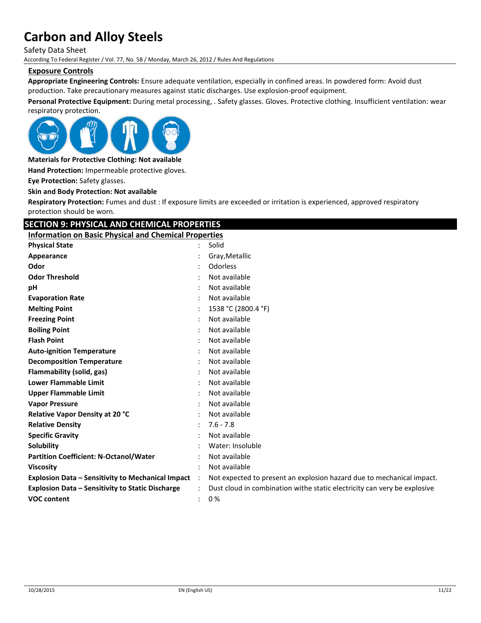Safety Data Sheet

According To Federal Register / Vol. 77, No. 58 / Monday, March 26, 2012 / Rules And Regulations

### **Exposure Controls**

**Appropriate Engineering Controls:** Ensure adequate ventilation, especially in confined areas. In powdered form: Avoid dust production. Take precautionary measures against static discharges. Use explosion-proof equipment.

**Personal Protective Equipment:** During metal processing, . Safety glasses. Gloves. Protective clothing. Insufficient ventilation: wear respiratory protection.



**Materials for Protective Clothing: Not available**

**Hand Protection:** Impermeable protective gloves.

**Eye Protection:** Safety glasses.

### **Skin and Body Protection: Not available**

**Respiratory Protection:** Fumes and dust : If exposure limits are exceeded or irritation is experienced, approved respiratory protection should be worn.

## **SECTION 9: PHYSICAL AND CHEMICAL PROPERTIES**

| SECTION 9. FIITSICAL AND CHEIVIICAL FNOFENTIES               |              |                                                                          |
|--------------------------------------------------------------|--------------|--------------------------------------------------------------------------|
| <b>Information on Basic Physical and Chemical Properties</b> |              |                                                                          |
| <b>Physical State</b>                                        |              | Solid                                                                    |
| Appearance                                                   |              | Gray, Metallic                                                           |
| Odor                                                         |              | Odorless                                                                 |
| <b>Odor Threshold</b>                                        |              | Not available                                                            |
| рH                                                           |              | Not available                                                            |
| <b>Evaporation Rate</b>                                      |              | Not available                                                            |
| <b>Melting Point</b>                                         |              | 1538 °C (2800.4 °F)                                                      |
| <b>Freezing Point</b>                                        |              | Not available                                                            |
| <b>Boiling Point</b>                                         |              | Not available                                                            |
| <b>Flash Point</b>                                           |              | Not available                                                            |
| <b>Auto-ignition Temperature</b>                             |              | Not available                                                            |
| <b>Decomposition Temperature</b>                             |              | Not available                                                            |
| Flammability (solid, gas)                                    |              | Not available                                                            |
| <b>Lower Flammable Limit</b>                                 |              | Not available                                                            |
| <b>Upper Flammable Limit</b>                                 |              | Not available                                                            |
| <b>Vapor Pressure</b>                                        |              | Not available                                                            |
| Relative Vapor Density at 20 °C                              |              | Not available                                                            |
| <b>Relative Density</b>                                      |              | $7.6 - 7.8$                                                              |
| <b>Specific Gravity</b>                                      |              | Not available                                                            |
| <b>Solubility</b>                                            |              | Water: Insoluble                                                         |
| <b>Partition Coefficient: N-Octanol/Water</b>                |              | Not available                                                            |
| <b>Viscosity</b>                                             |              | Not available                                                            |
| <b>Explosion Data - Sensitivity to Mechanical Impact</b>     | $\therefore$ | Not expected to present an explosion hazard due to mechanical impact.    |
| <b>Explosion Data - Sensitivity to Static Discharge</b>      |              | Dust cloud in combination withe static electricity can very be explosive |
| <b>VOC content</b>                                           |              | 0%                                                                       |
|                                                              |              |                                                                          |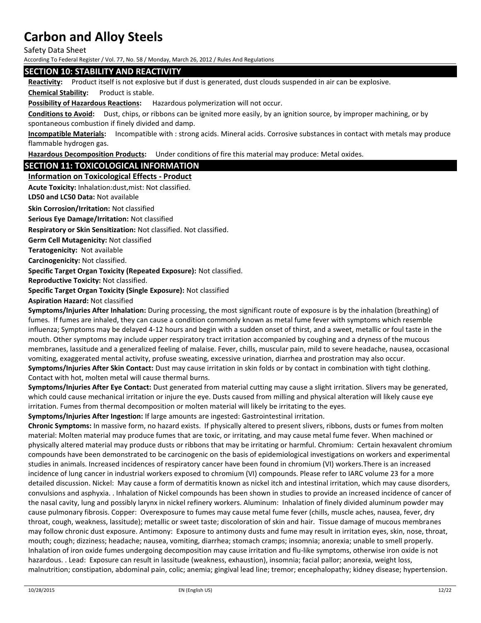Safety Data Sheet

According To Federal Register / Vol. 77, No. 58 / Monday, March 26, 2012 / Rules And Regulations

## **SECTION 10: STABILITY AND REACTIVITY**

**Reactivity:** Product itself is not explosive but if dust is generated, dust clouds suspended in air can be explosive.

**Chemical Stability:** Product is stable.

**Possibility of Hazardous Reactions:** Hazardous polymerization will not occur.

**Conditions to Avoid:** Dust, chips, or ribbons can be ignited more easily, by an ignition source, by improper machining, or by spontaneous combustion if finely divided and damp.

**Incompatible Materials:** Incompatible with : strong acids. Mineral acids. Corrosive substances in contact with metals may produce flammable hydrogen gas.

**Hazardous Decomposition Products:** Under conditions of fire this material may produce: Metal oxides.

## **SECTION 11: TOXICOLOGICAL INFORMATION**

### **Information on Toxicological Effects - Product**

**Acute Toxicity:** Inhalation:dust,mist: Not classified.

**LD50 and LC50 Data:** Not available

**Skin Corrosion/Irritation:** Not classified

**Serious Eye Damage/Irritation:** Not classified

**Respiratory or Skin Sensitization:** Not classified. Not classified.

**Germ Cell Mutagenicity:** Not classified

**Teratogenicity:** Not available

**Carcinogenicity:** Not classified.

**Specific Target Organ Toxicity (Repeated Exposure):** Not classified.

**Reproductive Toxicity:** Not classified.

**Specific Target Organ Toxicity (Single Exposure):** Not classified

#### **Aspiration Hazard:** Not classified

**Symptoms/Injuries After Inhalation:** During processing, the most significant route of exposure is by the inhalation (breathing) of fumes. If fumes are inhaled, they can cause a condition commonly known as metal fume fever with symptoms which resemble influenza; Symptoms may be delayed 4-12 hours and begin with a sudden onset of thirst, and a sweet, metallic or foul taste in the mouth. Other symptoms may include upper respiratory tract irritation accompanied by coughing and a dryness of the mucous membranes, lassitude and a generalized feeling of malaise. Fever, chills, muscular pain, mild to severe headache, nausea, occasional vomiting, exaggerated mental activity, profuse sweating, excessive urination, diarrhea and prostration may also occur.

**Symptoms/Injuries After Skin Contact:** Dust may cause irritation in skin folds or by contact in combination with tight clothing. Contact with hot, molten metal will cause thermal burns.

**Symptoms/Injuries After Eye Contact:** Dust generated from material cutting may cause a slight irritation. Slivers may be generated, which could cause mechanical irritation or injure the eye. Dusts caused from milling and physical alteration will likely cause eye irritation. Fumes from thermal decomposition or molten material will likely be irritating to the eyes.

**Symptoms/Injuries After Ingestion:** If large amounts are ingested: Gastrointestinal irritation.

**Chronic Symptoms:** In massive form, no hazard exists. If physically altered to present slivers, ribbons, dusts or fumes from molten material: Molten material may produce fumes that are toxic, or irritating, and may cause metal fume fever. When machined or physically altered material may produce dusts or ribbons that may be irritating or harmful. Chromium: Certain hexavalent chromium compounds have been demonstrated to be carcinogenic on the basis of epidemiological investigations on workers and experimental studies in animals. Increased incidences of respiratory cancer have been found in chromium (VI) workers.There is an increased incidence of lung cancer in industrial workers exposed to chromium (VI) compounds. Please refer to IARC volume 23 for a more detailed discussion. Nickel: May cause a form of dermatitis known as nickel itch and intestinal irritation, which may cause disorders, convulsions and asphyxia. . Inhalation of Nickel compounds has been shown in studies to provide an increased incidence of cancer of the nasal cavity, lung and possibly larynx in nickel refinery workers. Aluminum: Inhalation of finely divided aluminum powder may cause pulmonary fibrosis. Copper: Overexposure to fumes may cause metal fume fever (chills, muscle aches, nausea, fever, dry throat, cough, weakness, lassitude); metallic or sweet taste; discoloration of skin and hair. Tissue damage of mucous membranes may follow chronic dust exposure. Antimony: Exposure to antimony dusts and fume may result in irritation eyes, skin, nose, throat, mouth; cough; dizziness; headache; nausea, vomiting, diarrhea; stomach cramps; insomnia; anorexia; unable to smell properly. Inhalation of iron oxide fumes undergoing decomposition may cause irritation and flu-like symptoms, otherwise iron oxide is not hazardous. . Lead: Exposure can result in lassitude (weakness, exhaustion), insomnia; facial pallor; anorexia, weight loss, malnutrition; constipation, abdominal pain, colic; anemia; gingival lead line; tremor; encephalopathy; kidney disease; hypertension.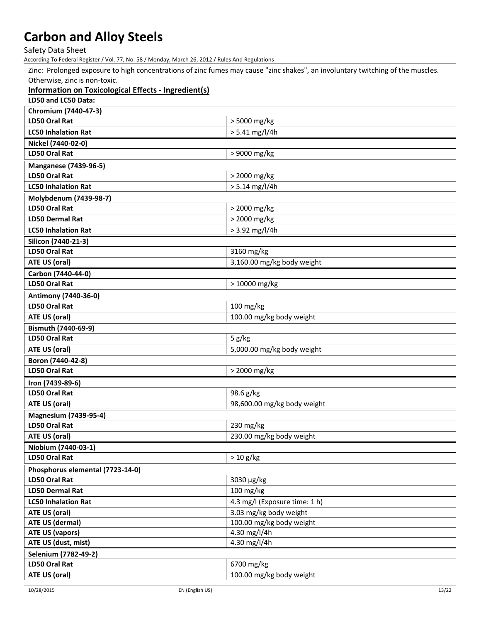Safety Data Sheet

According To Federal Register / Vol. 77, No. 58 / Monday, March 26, 2012 / Rules And Regulations

Zinc: Prolonged exposure to high concentrations of zinc fumes may cause "zinc shakes", an involuntary twitching of the muscles. Otherwise, zinc is non-toxic.

## **Information on Toxicological Effects - Ingredient(s)**

| LD50 and LC50 Data:              |                               |
|----------------------------------|-------------------------------|
| Chromium (7440-47-3)             |                               |
| LD50 Oral Rat                    | > 5000 mg/kg                  |
| <b>LC50 Inhalation Rat</b>       | $> 5.41$ mg/l/4h              |
| Nickel (7440-02-0)               |                               |
| LD50 Oral Rat                    | > 9000 mg/kg                  |
| <b>Manganese (7439-96-5)</b>     |                               |
| LD50 Oral Rat                    | > 2000 mg/kg                  |
| <b>LC50 Inhalation Rat</b>       | $> 5.14$ mg/l/4h              |
| Molybdenum (7439-98-7)           |                               |
| <b>LD50 Oral Rat</b>             | > 2000 mg/kg                  |
| <b>LD50 Dermal Rat</b>           | > 2000 mg/kg                  |
| <b>LC50 Inhalation Rat</b>       | $> 3.92$ mg/l/4h              |
| Silicon (7440-21-3)              |                               |
| LD50 Oral Rat                    | 3160 mg/kg                    |
| ATE US (oral)                    | 3,160.00 mg/kg body weight    |
| Carbon (7440-44-0)               |                               |
| <b>LD50 Oral Rat</b>             | > 10000 mg/kg                 |
| Antimony (7440-36-0)             |                               |
| LD50 Oral Rat                    | 100 mg/kg                     |
| ATE US (oral)                    | 100.00 mg/kg body weight      |
| Bismuth (7440-69-9)              |                               |
| LD50 Oral Rat                    | 5 g/kg                        |
| ATE US (oral)                    | 5,000.00 mg/kg body weight    |
| Boron (7440-42-8)                |                               |
| LD50 Oral Rat                    | > 2000 mg/kg                  |
| Iron (7439-89-6)                 |                               |
| LD50 Oral Rat                    | 98.6 g/kg                     |
| ATE US (oral)                    | 98,600.00 mg/kg body weight   |
| <b>Magnesium (7439-95-4)</b>     |                               |
| <b>LD50 Oral Rat</b>             | 230 mg/kg                     |
| ATE US (oral)                    | 230.00 mg/kg body weight      |
| Niobium (7440-03-1)              |                               |
| LD50 Oral Rat                    | $> 10$ g/kg                   |
| Phosphorus elemental (7723-14-0) |                               |
| LD50 Oral Rat                    | 3030 µg/kg                    |
| <b>LD50 Dermal Rat</b>           | 100 mg/kg                     |
| <b>LC50 Inhalation Rat</b>       | 4.3 mg/l (Exposure time: 1 h) |
| ATE US (oral)                    | 3.03 mg/kg body weight        |
| <b>ATE US (dermal)</b>           | 100.00 mg/kg body weight      |
| <b>ATE US (vapors)</b>           | 4.30 mg/l/4h                  |
| ATE US (dust, mist)              | 4.30 mg/l/4h                  |
| Selenium (7782-49-2)             |                               |
| LD50 Oral Rat                    | 6700 mg/kg                    |
| ATE US (oral)                    | 100.00 mg/kg body weight      |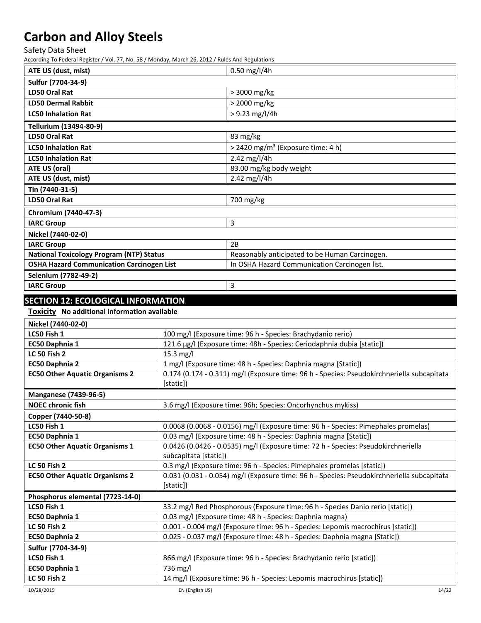Safety Data Sheet

According To Federal Register / Vol. 77, No. 58 / Monday, March 26, 2012 / Rules And Regulations

| ATE US (dust, mist)                                                                                      | $0.50$ mg/l/4h                                 |
|----------------------------------------------------------------------------------------------------------|------------------------------------------------|
| Sulfur (7704-34-9)                                                                                       |                                                |
| LD50 Oral Rat                                                                                            | > 3000 mg/kg                                   |
| <b>LD50 Dermal Rabbit</b>                                                                                | > 2000 mg/kg                                   |
| <b>LC50 Inhalation Rat</b>                                                                               | $> 9.23$ mg/l/4h                               |
| Tellurium (13494-80-9)                                                                                   |                                                |
| LD50 Oral Rat                                                                                            | 83 mg/kg                                       |
| <b>LC50 Inhalation Rat</b>                                                                               | > 2420 mg/m <sup>3</sup> (Exposure time: 4 h)  |
| <b>LC50 Inhalation Rat</b>                                                                               | 2.42 mg/l/4h                                   |
| ATE US (oral)                                                                                            | 83.00 mg/kg body weight                        |
| ATE US (dust, mist)                                                                                      | 2.42 mg/l/4h                                   |
| Tin (7440-31-5)                                                                                          |                                                |
| <b>LD50 Oral Rat</b>                                                                                     | 700 mg/kg                                      |
| Chromium (7440-47-3)                                                                                     |                                                |
| <b>IARC Group</b>                                                                                        | 3                                              |
| Nickel (7440-02-0)                                                                                       |                                                |
| <b>IARC Group</b>                                                                                        | 2B                                             |
| <b>National Toxicology Program (NTP) Status</b>                                                          | Reasonably anticipated to be Human Carcinogen. |
| <b>OSHA Hazard Communication Carcinogen List</b>                                                         | In OSHA Hazard Communication Carcinogen list.  |
| Selenium (7782-49-2)                                                                                     |                                                |
| <b>IARC Group</b>                                                                                        | 3                                              |
| $\overline{a}$ $\overline{a}$ $\overline{a}$ $\overline{a}$ $\overline{a}$ $\overline{a}$ $\overline{a}$ |                                                |

## **SECTION 12: ECOLOGICAL INFORMATION**

**Toxicity No additional information available**

| Nickel (7440-02-0)                    |                                                                                            |
|---------------------------------------|--------------------------------------------------------------------------------------------|
| LC50 Fish 1                           | 100 mg/l (Exposure time: 96 h - Species: Brachydanio rerio)                                |
| EC50 Daphnia 1                        | 121.6 μg/l (Exposure time: 48h - Species: Ceriodaphnia dubia [static])                     |
| <b>LC 50 Fish 2</b>                   | 15.3 mg/l                                                                                  |
| EC50 Daphnia 2                        | 1 mg/l (Exposure time: 48 h - Species: Daphnia magna [Static])                             |
| <b>EC50 Other Aquatic Organisms 2</b> | 0.174 (0.174 - 0.311) mg/l (Exposure time: 96 h - Species: Pseudokirchneriella subcapitata |
|                                       | [static])                                                                                  |
| <b>Manganese (7439-96-5)</b>          |                                                                                            |
| <b>NOEC chronic fish</b>              | 3.6 mg/l (Exposure time: 96h; Species: Oncorhynchus mykiss)                                |
| Copper (7440-50-8)                    |                                                                                            |
| LC50 Fish 1                           | 0.0068 (0.0068 - 0.0156) mg/l (Exposure time: 96 h - Species: Pimephales promelas)         |
| EC50 Daphnia 1                        | 0.03 mg/l (Exposure time: 48 h - Species: Daphnia magna [Static])                          |
| <b>EC50 Other Aquatic Organisms 1</b> | 0.0426 (0.0426 - 0.0535) mg/l (Exposure time: 72 h - Species: Pseudokirchneriella          |
|                                       | subcapitata [static])                                                                      |
| <b>LC 50 Fish 2</b>                   | 0.3 mg/l (Exposure time: 96 h - Species: Pimephales promelas [static])                     |
| <b>EC50 Other Aquatic Organisms 2</b> | 0.031 (0.031 - 0.054) mg/l (Exposure time: 96 h - Species: Pseudokirchneriella subcapitata |
|                                       | [static])                                                                                  |
| Phosphorus elemental (7723-14-0)      |                                                                                            |
| LC50 Fish 1                           | 33.2 mg/l Red Phosphorous (Exposure time: 96 h - Species Danio rerio [static])             |
| EC50 Daphnia 1                        | 0.03 mg/l (Exposure time: 48 h - Species: Daphnia magna)                                   |
| <b>LC 50 Fish 2</b>                   | 0.001 - 0.004 mg/l (Exposure time: 96 h - Species: Lepomis macrochirus [static])           |
| EC50 Daphnia 2                        | 0.025 - 0.037 mg/l (Exposure time: 48 h - Species: Daphnia magna [Static])                 |
| Sulfur (7704-34-9)                    |                                                                                            |
| LC50 Fish 1                           | 866 mg/l (Exposure time: 96 h - Species: Brachydanio rerio [static])                       |
| EC50 Daphnia 1                        | 736 mg/l                                                                                   |
| <b>LC 50 Fish 2</b>                   | 14 mg/l (Exposure time: 96 h - Species: Lepomis macrochirus [static])                      |
| 10/28/2015                            | EN (English US)<br>14/22                                                                   |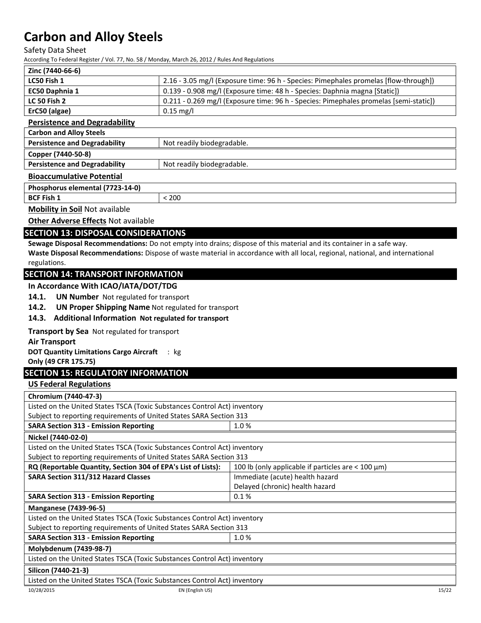#### Safety Data Sheet

According To Federal Register / Vol. 77, No. 58 / Monday, March 26, 2012 / Rules And Regulations

| Zinc (7440-66-6)                     |                                                                                       |
|--------------------------------------|---------------------------------------------------------------------------------------|
| LC50 Fish 1                          | 2.16 - 3.05 mg/l (Exposure time: 96 h - Species: Pimephales promelas [flow-through])  |
| EC50 Daphnia 1                       | 0.139 - 0.908 mg/l (Exposure time: 48 h - Species: Daphnia magna [Static])            |
| <b>LC 50 Fish 2</b>                  | 0.211 - 0.269 mg/l (Exposure time: 96 h - Species: Pimephales promelas [semi-static]) |
| ErC50 (algae)                        | $0.15 \text{ mg/l}$                                                                   |
| <b>Persistence and Degradability</b> |                                                                                       |
|                                      |                                                                                       |

| <b>Carbon and Alloy Steels</b>       |                            |
|--------------------------------------|----------------------------|
| <b>Persistence and Degradability</b> | Not readily biodegradable. |
| Copper (7440-50-8)                   |                            |
| <b>Persistence and Degradability</b> | Not readily biodegradable. |
| Rioaccumulative Detential            |                            |

### **Bioaccumulative Potential**

| Phosphorus elemental (7723-14-0) |     |
|----------------------------------|-----|
| <b>BCF Fish 1</b>                | 200 |
| .                                |     |

## **Mobility in Soil** Not available

**Other Adverse Effects** Not available

## **SECTION 13: DISPOSAL CONSIDERATIONS**

**Sewage Disposal Recommendations:** Do not empty into drains; dispose of this material and its container in a safe way. **Waste Disposal Recommendations:** Dispose of waste material in accordance with all local, regional, national, and international regulations.

## **SECTION 14: TRANSPORT INFORMATION**

### **In Accordance With ICAO/IATA/DOT/TDG**

**14.1. UN Number** Not regulated for transport

- **14.2. UN Proper Shipping Name** Not regulated for transport
- **14.3. Additional Information Not regulated for transport**

### **Transport by Sea** Not regulated for transport

**Air Transport** 

**DOT Quantity Limitations Cargo Aircraft**  : kg

**Only (49 CFR 175.75)**

## **SECTION 15: REGULATORY INFORMATION**

**US Federal Regulations**

## 10/28/2015 EN (English US) 15/22 **Chromium (7440-47-3)** Listed on the United States TSCA (Toxic Substances Control Act) inventory Subject to reporting requirements of United States SARA Section 313 **SARA Section 313 - Emission Reporting 1.0 % Nickel (7440-02-0)** Listed on the United States TSCA (Toxic Substances Control Act) inventory Subject to reporting requirements of United States SARA Section 313 **RQ (Reportable Quantity, Section 304 of EPA's List of Lists):** 100 lb (only applicable if particles are < 100 µm) **SARA Section 311/312 Hazard Classes** Immediate (acute) health hazard Delayed (chronic) health hazard **SARA Section 313 - Emission Reporting**  $\begin{bmatrix} 0.1 % 0.1 % \end{bmatrix}$ **Manganese (7439-96-5)** Listed on the United States TSCA (Toxic Substances Control Act) inventory Subject to reporting requirements of United States SARA Section 313 **SARA Section 313 - Emission Reporting 1.0 % Molybdenum (7439-98-7)** Listed on the United States TSCA (Toxic Substances Control Act) inventory **Silicon (7440-21-3)** Listed on the United States TSCA (Toxic Substances Control Act) inventory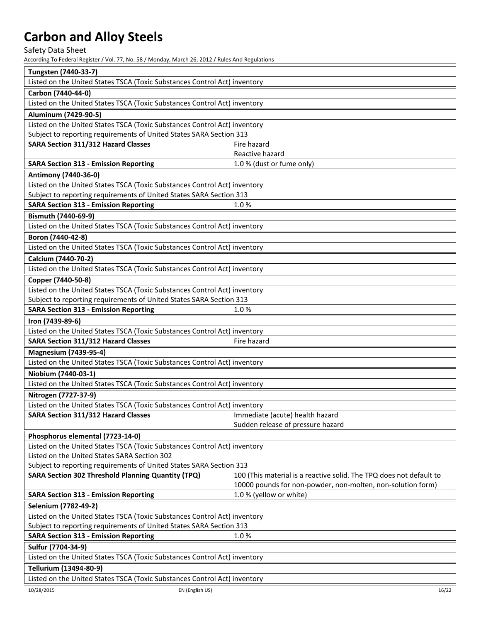Safety Data Sheet

| Tungsten (7440-33-7)                                                                                      |                                                                     |
|-----------------------------------------------------------------------------------------------------------|---------------------------------------------------------------------|
| Listed on the United States TSCA (Toxic Substances Control Act) inventory                                 |                                                                     |
| Carbon (7440-44-0)                                                                                        |                                                                     |
| Listed on the United States TSCA (Toxic Substances Control Act) inventory                                 |                                                                     |
| Aluminum (7429-90-5)                                                                                      |                                                                     |
| Listed on the United States TSCA (Toxic Substances Control Act) inventory                                 |                                                                     |
| Subject to reporting requirements of United States SARA Section 313                                       |                                                                     |
| <b>SARA Section 311/312 Hazard Classes</b>                                                                | Fire hazard                                                         |
|                                                                                                           | Reactive hazard                                                     |
| <b>SARA Section 313 - Emission Reporting</b>                                                              | 1.0 % (dust or fume only)                                           |
| Antimony (7440-36-0)                                                                                      |                                                                     |
| Listed on the United States TSCA (Toxic Substances Control Act) inventory                                 |                                                                     |
| Subject to reporting requirements of United States SARA Section 313                                       |                                                                     |
| <b>SARA Section 313 - Emission Reporting</b>                                                              | 1.0%                                                                |
| Bismuth (7440-69-9)                                                                                       |                                                                     |
| Listed on the United States TSCA (Toxic Substances Control Act) inventory                                 |                                                                     |
| Boron (7440-42-8)                                                                                         |                                                                     |
| Listed on the United States TSCA (Toxic Substances Control Act) inventory                                 |                                                                     |
| Calcium (7440-70-2)                                                                                       |                                                                     |
| Listed on the United States TSCA (Toxic Substances Control Act) inventory                                 |                                                                     |
| Copper (7440-50-8)                                                                                        |                                                                     |
| Listed on the United States TSCA (Toxic Substances Control Act) inventory                                 |                                                                     |
| Subject to reporting requirements of United States SARA Section 313                                       |                                                                     |
| <b>SARA Section 313 - Emission Reporting</b>                                                              | 1.0%                                                                |
| Iron (7439-89-6)                                                                                          |                                                                     |
| Listed on the United States TSCA (Toxic Substances Control Act) inventory                                 |                                                                     |
| <b>SARA Section 311/312 Hazard Classes</b>                                                                | Fire hazard                                                         |
|                                                                                                           |                                                                     |
| <b>Magnesium (7439-95-4)</b><br>Listed on the United States TSCA (Toxic Substances Control Act) inventory |                                                                     |
|                                                                                                           |                                                                     |
| Niobium (7440-03-1)                                                                                       |                                                                     |
| Listed on the United States TSCA (Toxic Substances Control Act) inventory                                 |                                                                     |
| Nitrogen (7727-37-9)                                                                                      |                                                                     |
| Listed on the United States TSCA (Toxic Substances Control Act) inventory                                 |                                                                     |
| SARA Section 311/312 Hazard Classes                                                                       | Immediate (acute) health hazard                                     |
|                                                                                                           | Sudden release of pressure hazard                                   |
| Phosphorus elemental (7723-14-0)                                                                          |                                                                     |
| Listed on the United States TSCA (Toxic Substances Control Act) inventory                                 |                                                                     |
| Listed on the United States SARA Section 302                                                              |                                                                     |
| Subject to reporting requirements of United States SARA Section 313                                       |                                                                     |
| <b>SARA Section 302 Threshold Planning Quantity (TPQ)</b>                                                 | 100 (This material is a reactive solid. The TPQ does not default to |
|                                                                                                           | 10000 pounds for non-powder, non-molten, non-solution form)         |
| <b>SARA Section 313 - Emission Reporting</b>                                                              | 1.0 % (yellow or white)                                             |
| Selenium (7782-49-2)                                                                                      |                                                                     |
| Listed on the United States TSCA (Toxic Substances Control Act) inventory                                 |                                                                     |
| Subject to reporting requirements of United States SARA Section 313                                       |                                                                     |
| <b>SARA Section 313 - Emission Reporting</b>                                                              | 1.0%                                                                |
| Sulfur (7704-34-9)                                                                                        |                                                                     |
| Listed on the United States TSCA (Toxic Substances Control Act) inventory                                 |                                                                     |
| Tellurium (13494-80-9)                                                                                    |                                                                     |
| Listed on the United States TSCA (Toxic Substances Control Act) inventory                                 |                                                                     |
| 10/28/2015<br>EN (English US)                                                                             | 16/22                                                               |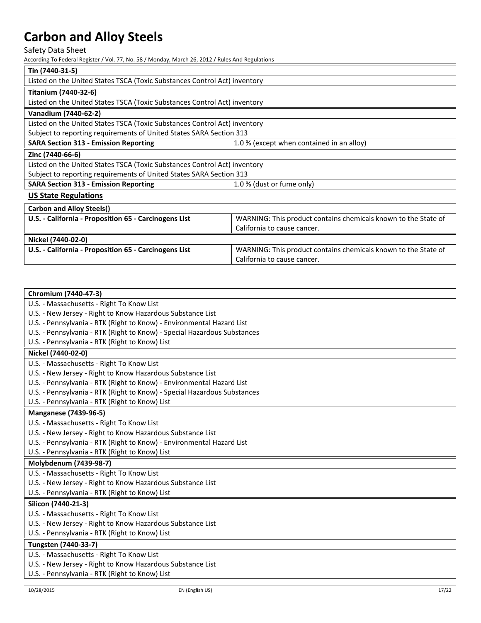## Safety Data Sheet

| Tin (7440-31-5)                                                                           |                                                                |  |
|-------------------------------------------------------------------------------------------|----------------------------------------------------------------|--|
| Listed on the United States TSCA (Toxic Substances Control Act) inventory                 |                                                                |  |
| Titanium (7440-32-6)                                                                      |                                                                |  |
| Listed on the United States TSCA (Toxic Substances Control Act) inventory                 |                                                                |  |
| Vanadium (7440-62-2)                                                                      |                                                                |  |
| Listed on the United States TSCA (Toxic Substances Control Act) inventory                 |                                                                |  |
| Subject to reporting requirements of United States SARA Section 313                       |                                                                |  |
| <b>SARA Section 313 - Emission Reporting</b><br>1.0 % (except when contained in an alloy) |                                                                |  |
| Zinc (7440-66-6)                                                                          |                                                                |  |
| Listed on the United States TSCA (Toxic Substances Control Act) inventory                 |                                                                |  |
| Subject to reporting requirements of United States SARA Section 313                       |                                                                |  |
| <b>SARA Section 313 - Emission Reporting</b><br>1.0 % (dust or fume only)                 |                                                                |  |
| <b>US State Regulations</b>                                                               |                                                                |  |
| <b>Carbon and Alloy Steels()</b>                                                          |                                                                |  |
| U.S. - California - Proposition 65 - Carcinogens List                                     | WARNING: This product contains chemicals known to the State of |  |
|                                                                                           | California to cause cancer.                                    |  |
| Nickel (7440-02-0)                                                                        |                                                                |  |
| U.S. - California - Proposition 65 - Carcinogens List                                     | WARNING: This product contains chemicals known to the State of |  |
|                                                                                           | California to cause cancer.                                    |  |

| Chromium (7440-47-3)                                                     |
|--------------------------------------------------------------------------|
| U.S. - Massachusetts - Right To Know List                                |
| U.S. - New Jersey - Right to Know Hazardous Substance List               |
| U.S. - Pennsylvania - RTK (Right to Know) - Environmental Hazard List    |
| U.S. - Pennsylvania - RTK (Right to Know) - Special Hazardous Substances |
| U.S. - Pennsylvania - RTK (Right to Know) List                           |
| Nickel (7440-02-0)                                                       |
| U.S. - Massachusetts - Right To Know List                                |
| U.S. - New Jersey - Right to Know Hazardous Substance List               |
| U.S. - Pennsylvania - RTK (Right to Know) - Environmental Hazard List    |
| U.S. - Pennsylvania - RTK (Right to Know) - Special Hazardous Substances |
| U.S. - Pennsylvania - RTK (Right to Know) List                           |
| <b>Manganese (7439-96-5)</b>                                             |
| U.S. - Massachusetts - Right To Know List                                |
| U.S. - New Jersey - Right to Know Hazardous Substance List               |
| U.S. - Pennsylvania - RTK (Right to Know) - Environmental Hazard List    |
| U.S. - Pennsylvania - RTK (Right to Know) List                           |
| Molybdenum (7439-98-7)                                                   |
| U.S. - Massachusetts - Right To Know List                                |
| U.S. - New Jersey - Right to Know Hazardous Substance List               |
| U.S. - Pennsylvania - RTK (Right to Know) List                           |
| Silicon (7440-21-3)                                                      |
| U.S. - Massachusetts - Right To Know List                                |
| U.S. - New Jersey - Right to Know Hazardous Substance List               |
| U.S. - Pennsylvania - RTK (Right to Know) List                           |
| Tungsten (7440-33-7)                                                     |
| U.S. - Massachusetts - Right To Know List                                |
| U.S. - New Jersey - Right to Know Hazardous Substance List               |
| U.S. - Pennsylvania - RTK (Right to Know) List                           |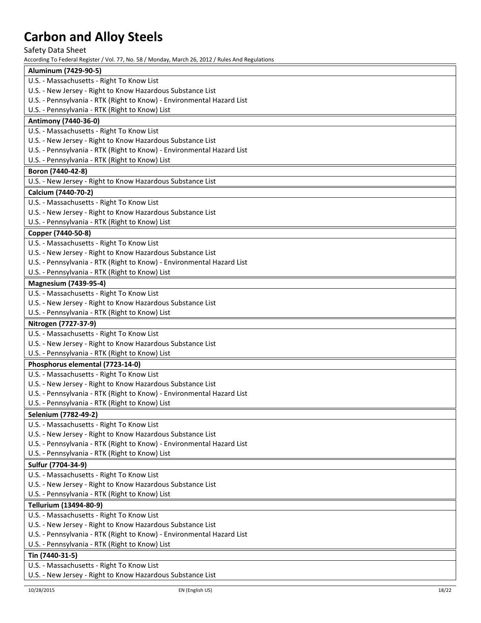Safety Data Sheet

| Aluminum (7429-90-5)                                                  |
|-----------------------------------------------------------------------|
| U.S. - Massachusetts - Right To Know List                             |
| U.S. - New Jersey - Right to Know Hazardous Substance List            |
| U.S. - Pennsylvania - RTK (Right to Know) - Environmental Hazard List |
| U.S. - Pennsylvania - RTK (Right to Know) List                        |
| Antimony (7440-36-0)                                                  |
| U.S. - Massachusetts - Right To Know List                             |
| U.S. - New Jersey - Right to Know Hazardous Substance List            |
| U.S. - Pennsylvania - RTK (Right to Know) - Environmental Hazard List |
| U.S. - Pennsylvania - RTK (Right to Know) List                        |
| Boron (7440-42-8)                                                     |
| U.S. - New Jersey - Right to Know Hazardous Substance List            |
| Calcium (7440-70-2)                                                   |
| U.S. - Massachusetts - Right To Know List                             |
| U.S. - New Jersey - Right to Know Hazardous Substance List            |
| U.S. - Pennsylvania - RTK (Right to Know) List                        |
| Copper (7440-50-8)                                                    |
| U.S. - Massachusetts - Right To Know List                             |
| U.S. - New Jersey - Right to Know Hazardous Substance List            |
| U.S. - Pennsylvania - RTK (Right to Know) - Environmental Hazard List |
| U.S. - Pennsylvania - RTK (Right to Know) List                        |
| <b>Magnesium (7439-95-4)</b>                                          |
| U.S. - Massachusetts - Right To Know List                             |
| U.S. - New Jersey - Right to Know Hazardous Substance List            |
| U.S. - Pennsylvania - RTK (Right to Know) List                        |
|                                                                       |
| Nitrogen (7727-37-9)                                                  |
| U.S. - Massachusetts - Right To Know List                             |
| U.S. - New Jersey - Right to Know Hazardous Substance List            |
| U.S. - Pennsylvania - RTK (Right to Know) List                        |
| Phosphorus elemental (7723-14-0)                                      |
| U.S. - Massachusetts - Right To Know List                             |
| U.S. - New Jersey - Right to Know Hazardous Substance List            |
| U.S. - Pennsylvania - RTK (Right to Know) - Environmental Hazard List |
| U.S. - Pennsylvania - RTK (Right to Know) List                        |
| Selenium (7782-49-2)                                                  |
| U.S. - Massachusetts - Right To Know List                             |
| U.S. - New Jersey - Right to Know Hazardous Substance List            |
| U.S. - Pennsylvania - RTK (Right to Know) - Environmental Hazard List |
| U.S. - Pennsylvania - RTK (Right to Know) List                        |
| Sulfur (7704-34-9)                                                    |
| U.S. - Massachusetts - Right To Know List                             |
| U.S. - New Jersey - Right to Know Hazardous Substance List            |
| U.S. - Pennsylvania - RTK (Right to Know) List                        |
| Tellurium (13494-80-9)                                                |
| U.S. - Massachusetts - Right To Know List                             |
| U.S. - New Jersey - Right to Know Hazardous Substance List            |
| U.S. - Pennsylvania - RTK (Right to Know) - Environmental Hazard List |
| U.S. - Pennsylvania - RTK (Right to Know) List                        |
| Tin (7440-31-5)                                                       |
| U.S. - Massachusetts - Right To Know List                             |
| U.S. - New Jersey - Right to Know Hazardous Substance List            |
|                                                                       |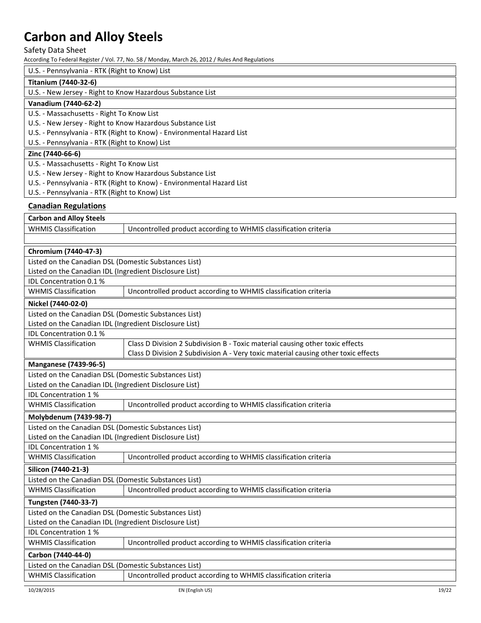Safety Data Sheet

According To Federal Register / Vol. 77, No. 58 / Monday, March 26, 2012 / Rules And Regulations

U.S. - Pennsylvania - RTK (Right to Know) List

### **Titanium (7440-32-6)**

U.S. - New Jersey - Right to Know Hazardous Substance List

## **Vanadium (7440-62-2)**

U.S. - Massachusetts - Right To Know List

U.S. - New Jersey - Right to Know Hazardous Substance List

U.S. - Pennsylvania - RTK (Right to Know) - Environmental Hazard List

U.S. - Pennsylvania - RTK (Right to Know) List

### **Zinc (7440-66-6)**

U.S. - Massachusetts - Right To Know List

U.S. - New Jersey - Right to Know Hazardous Substance List

- U.S. Pennsylvania RTK (Right to Know) Environmental Hazard List
- U.S. Pennsylvania RTK (Right to Know) List

### **Canadian Regulations**

| <b>Carbon and Alloy Steels</b>                          |                                                                                    |
|---------------------------------------------------------|------------------------------------------------------------------------------------|
| <b>WHMIS Classification</b>                             | Uncontrolled product according to WHMIS classification criteria                    |
|                                                         |                                                                                    |
| Chromium (7440-47-3)                                    |                                                                                    |
| Listed on the Canadian DSL (Domestic Substances List)   |                                                                                    |
| Listed on the Canadian IDL (Ingredient Disclosure List) |                                                                                    |
| IDL Concentration 0.1 %                                 |                                                                                    |
| <b>WHMIS Classification</b>                             | Uncontrolled product according to WHMIS classification criteria                    |
| Nickel (7440-02-0)                                      |                                                                                    |
| Listed on the Canadian DSL (Domestic Substances List)   |                                                                                    |
| Listed on the Canadian IDL (Ingredient Disclosure List) |                                                                                    |
| IDL Concentration 0.1 %                                 |                                                                                    |
| <b>WHMIS Classification</b>                             | Class D Division 2 Subdivision B - Toxic material causing other toxic effects      |
|                                                         | Class D Division 2 Subdivision A - Very toxic material causing other toxic effects |
| <b>Manganese (7439-96-5)</b>                            |                                                                                    |
| Listed on the Canadian DSL (Domestic Substances List)   |                                                                                    |
| Listed on the Canadian IDL (Ingredient Disclosure List) |                                                                                    |
| IDL Concentration 1%                                    |                                                                                    |
| <b>WHMIS Classification</b>                             | Uncontrolled product according to WHMIS classification criteria                    |
| Molybdenum (7439-98-7)                                  |                                                                                    |
| Listed on the Canadian DSL (Domestic Substances List)   |                                                                                    |
| Listed on the Canadian IDL (Ingredient Disclosure List) |                                                                                    |
| IDL Concentration 1%                                    |                                                                                    |
| <b>WHMIS Classification</b>                             | Uncontrolled product according to WHMIS classification criteria                    |
| Silicon (7440-21-3)                                     |                                                                                    |
| Listed on the Canadian DSL (Domestic Substances List)   |                                                                                    |
| <b>WHMIS Classification</b>                             | Uncontrolled product according to WHMIS classification criteria                    |
| Tungsten (7440-33-7)                                    |                                                                                    |
| Listed on the Canadian DSL (Domestic Substances List)   |                                                                                    |
| Listed on the Canadian IDL (Ingredient Disclosure List) |                                                                                    |
| IDL Concentration 1%                                    |                                                                                    |
| <b>WHMIS Classification</b>                             | Uncontrolled product according to WHMIS classification criteria                    |
| Carbon (7440-44-0)                                      |                                                                                    |
| Listed on the Canadian DSL (Domestic Substances List)   |                                                                                    |
| <b>WHMIS Classification</b>                             | Uncontrolled product according to WHMIS classification criteria                    |
|                                                         |                                                                                    |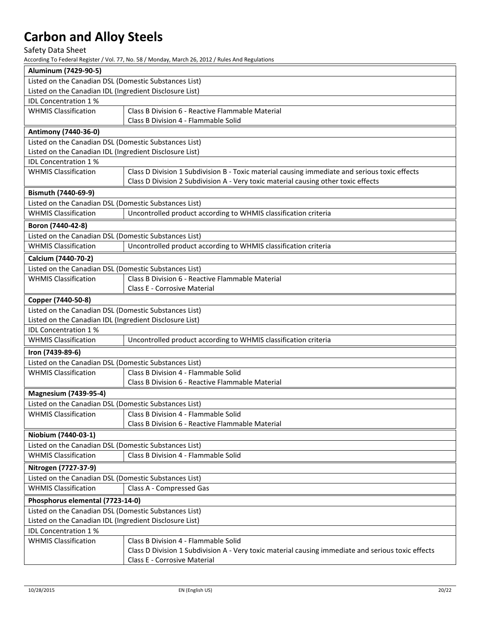### Safety Data Sheet

| Aluminum (7429-90-5)                                    |                                                                                                                                                                                     |  |
|---------------------------------------------------------|-------------------------------------------------------------------------------------------------------------------------------------------------------------------------------------|--|
| Listed on the Canadian DSL (Domestic Substances List)   |                                                                                                                                                                                     |  |
| Listed on the Canadian IDL (Ingredient Disclosure List) |                                                                                                                                                                                     |  |
| IDL Concentration 1%                                    |                                                                                                                                                                                     |  |
| <b>WHMIS Classification</b>                             | Class B Division 6 - Reactive Flammable Material<br>Class B Division 4 - Flammable Solid                                                                                            |  |
| Antimony (7440-36-0)                                    |                                                                                                                                                                                     |  |
| Listed on the Canadian DSL (Domestic Substances List)   |                                                                                                                                                                                     |  |
| Listed on the Canadian IDL (Ingredient Disclosure List) |                                                                                                                                                                                     |  |
| <b>IDL Concentration 1%</b>                             |                                                                                                                                                                                     |  |
| <b>WHMIS Classification</b>                             | Class D Division 1 Subdivision B - Toxic material causing immediate and serious toxic effects<br>Class D Division 2 Subdivision A - Very toxic material causing other toxic effects |  |
| Bismuth (7440-69-9)                                     |                                                                                                                                                                                     |  |
| Listed on the Canadian DSL (Domestic Substances List)   |                                                                                                                                                                                     |  |
| <b>WHMIS Classification</b>                             | Uncontrolled product according to WHMIS classification criteria                                                                                                                     |  |
| Boron (7440-42-8)                                       |                                                                                                                                                                                     |  |
| Listed on the Canadian DSL (Domestic Substances List)   |                                                                                                                                                                                     |  |
| <b>WHMIS Classification</b>                             | Uncontrolled product according to WHMIS classification criteria                                                                                                                     |  |
| Calcium (7440-70-2)                                     |                                                                                                                                                                                     |  |
| Listed on the Canadian DSL (Domestic Substances List)   |                                                                                                                                                                                     |  |
| <b>WHMIS Classification</b>                             | Class B Division 6 - Reactive Flammable Material                                                                                                                                    |  |
|                                                         | Class E - Corrosive Material                                                                                                                                                        |  |
| Copper (7440-50-8)                                      |                                                                                                                                                                                     |  |
| Listed on the Canadian DSL (Domestic Substances List)   |                                                                                                                                                                                     |  |
| Listed on the Canadian IDL (Ingredient Disclosure List) |                                                                                                                                                                                     |  |
| IDL Concentration 1%                                    |                                                                                                                                                                                     |  |
| <b>WHMIS Classification</b>                             | Uncontrolled product according to WHMIS classification criteria                                                                                                                     |  |
| Iron (7439-89-6)                                        |                                                                                                                                                                                     |  |
| Listed on the Canadian DSL (Domestic Substances List)   |                                                                                                                                                                                     |  |
| <b>WHMIS Classification</b>                             | Class B Division 4 - Flammable Solid                                                                                                                                                |  |
|                                                         | Class B Division 6 - Reactive Flammable Material                                                                                                                                    |  |
| <b>Magnesium (7439-95-4)</b>                            |                                                                                                                                                                                     |  |
| Listed on the Canadian DSL (Domestic Substances List)   |                                                                                                                                                                                     |  |
| <b>WHMIS Classification</b>                             | Class B Division 4 - Flammable Solid                                                                                                                                                |  |
|                                                         | Class B Division 6 - Reactive Flammable Material                                                                                                                                    |  |
| Niobium (7440-03-1)                                     |                                                                                                                                                                                     |  |
| Listed on the Canadian DSL (Domestic Substances List)   |                                                                                                                                                                                     |  |
| <b>WHMIS Classification</b>                             | Class B Division 4 - Flammable Solid                                                                                                                                                |  |
| Nitrogen (7727-37-9)                                    |                                                                                                                                                                                     |  |
| Listed on the Canadian DSL (Domestic Substances List)   |                                                                                                                                                                                     |  |
| <b>WHMIS Classification</b>                             | Class A - Compressed Gas                                                                                                                                                            |  |
| Phosphorus elemental (7723-14-0)                        |                                                                                                                                                                                     |  |
| Listed on the Canadian DSL (Domestic Substances List)   |                                                                                                                                                                                     |  |
| Listed on the Canadian IDL (Ingredient Disclosure List) |                                                                                                                                                                                     |  |
| IDL Concentration 1%                                    |                                                                                                                                                                                     |  |
| <b>WHMIS Classification</b>                             | Class B Division 4 - Flammable Solid                                                                                                                                                |  |
|                                                         | Class D Division 1 Subdivision A - Very toxic material causing immediate and serious toxic effects                                                                                  |  |
|                                                         | Class E - Corrosive Material                                                                                                                                                        |  |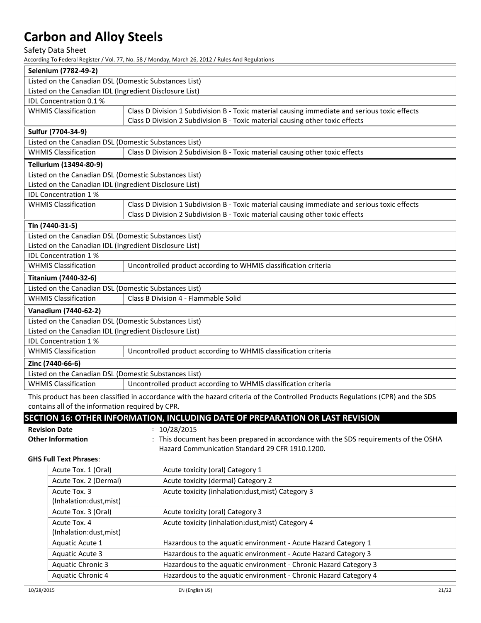### Safety Data Sheet

According To Federal Register / Vol. 77, No. 58 / Monday, March 26, 2012 / Rules And Regulations

| Selenium (7782-49-2)                                    |                                                                                                                                  |
|---------------------------------------------------------|----------------------------------------------------------------------------------------------------------------------------------|
| Listed on the Canadian DSL (Domestic Substances List)   |                                                                                                                                  |
| Listed on the Canadian IDL (Ingredient Disclosure List) |                                                                                                                                  |
| IDL Concentration 0.1 %                                 |                                                                                                                                  |
| <b>WHMIS Classification</b>                             | Class D Division 1 Subdivision B - Toxic material causing immediate and serious toxic effects                                    |
|                                                         | Class D Division 2 Subdivision B - Toxic material causing other toxic effects                                                    |
| Sulfur (7704-34-9)                                      |                                                                                                                                  |
| Listed on the Canadian DSL (Domestic Substances List)   |                                                                                                                                  |
| <b>WHMIS Classification</b>                             | Class D Division 2 Subdivision B - Toxic material causing other toxic effects                                                    |
| Tellurium (13494-80-9)                                  |                                                                                                                                  |
| Listed on the Canadian DSL (Domestic Substances List)   |                                                                                                                                  |
| Listed on the Canadian IDL (Ingredient Disclosure List) |                                                                                                                                  |
| <b>IDL Concentration 1%</b>                             |                                                                                                                                  |
| <b>WHMIS Classification</b>                             | Class D Division 1 Subdivision B - Toxic material causing immediate and serious toxic effects                                    |
|                                                         | Class D Division 2 Subdivision B - Toxic material causing other toxic effects                                                    |
| Tin (7440-31-5)                                         |                                                                                                                                  |
| Listed on the Canadian DSL (Domestic Substances List)   |                                                                                                                                  |
| Listed on the Canadian IDL (Ingredient Disclosure List) |                                                                                                                                  |
| IDL Concentration 1%                                    |                                                                                                                                  |
| <b>WHMIS Classification</b>                             | Uncontrolled product according to WHMIS classification criteria                                                                  |
| Titanium (7440-32-6)                                    |                                                                                                                                  |
| Listed on the Canadian DSL (Domestic Substances List)   |                                                                                                                                  |
| <b>WHMIS Classification</b>                             | Class B Division 4 - Flammable Solid                                                                                             |
| Vanadium (7440-62-2)                                    |                                                                                                                                  |
| Listed on the Canadian DSL (Domestic Substances List)   |                                                                                                                                  |
| Listed on the Canadian IDL (Ingredient Disclosure List) |                                                                                                                                  |
| <b>IDL Concentration 1%</b>                             |                                                                                                                                  |
| <b>WHMIS Classification</b>                             | Uncontrolled product according to WHMIS classification criteria                                                                  |
| Zinc (7440-66-6)                                        |                                                                                                                                  |
| Listed on the Canadian DSL (Domestic Substances List)   |                                                                                                                                  |
| <b>WHMIS Classification</b>                             | Uncontrolled product according to WHMIS classification criteria                                                                  |
| contains all of the information required by CPR.        | This product has been classified in accordance with the hazard criteria of the Controlled Products Regulations (CPR) and the SDS |

## **SECTION 16: OTHER INFORMATION, INCLUDING DATE OF PREPARATION OR LAST REVISION**

**Revision Date** : 10/28/2015

Other Information : This document has been prepared in accordance with the SDS requirements of the OSHA Hazard Communication Standard 29 CFR 1910.1200.

### **GHS Full Text Phrases**:

| Acute Tox. 1 (Oral)                     | Acute toxicity (oral) Category 1                                 |
|-----------------------------------------|------------------------------------------------------------------|
| Acute Tox. 2 (Dermal)                   | Acute toxicity (dermal) Category 2                               |
| Acute Tox. 3<br>(Inhalation:dust, mist) | Acute toxicity (inhalation:dust, mist) Category 3                |
| Acute Tox. 3 (Oral)                     | Acute toxicity (oral) Category 3                                 |
| Acute Tox. 4<br>(Inhalation:dust, mist) | Acute toxicity (inhalation:dust, mist) Category 4                |
| Aquatic Acute 1                         | Hazardous to the aquatic environment - Acute Hazard Category 1   |
| Aquatic Acute 3                         | Hazardous to the aquatic environment - Acute Hazard Category 3   |
| <b>Aquatic Chronic 3</b>                | Hazardous to the aquatic environment - Chronic Hazard Category 3 |
| Aquatic Chronic 4                       | Hazardous to the aquatic environment - Chronic Hazard Category 4 |